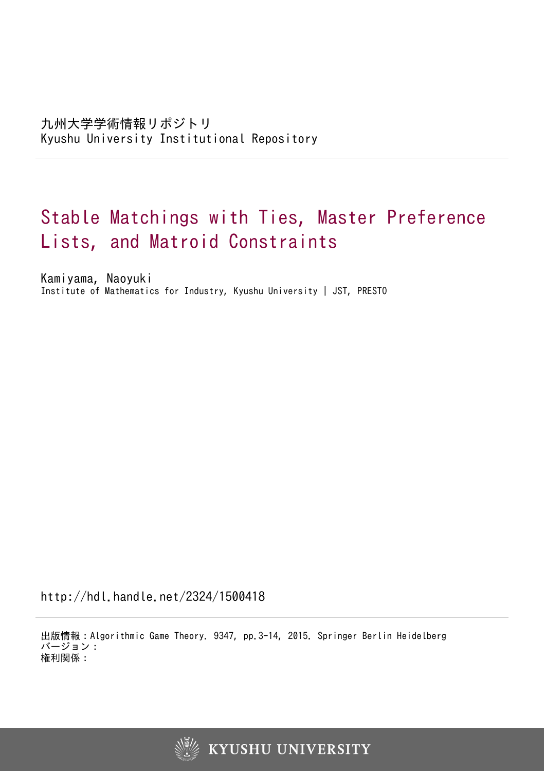# Stable Matchings with Ties, Master Preference Lists, and Matroid Constraints

Kamiyama, Naoyuki Institute of Mathematics for Industry, Kyushu University | JST, PRESTO

http://hdl.handle.net/2324/1500418

出版情報:Algorithmic Game Theory. 9347, pp.3-14, 2015. Springer Berlin Heidelberg バージョン: 権利関係:

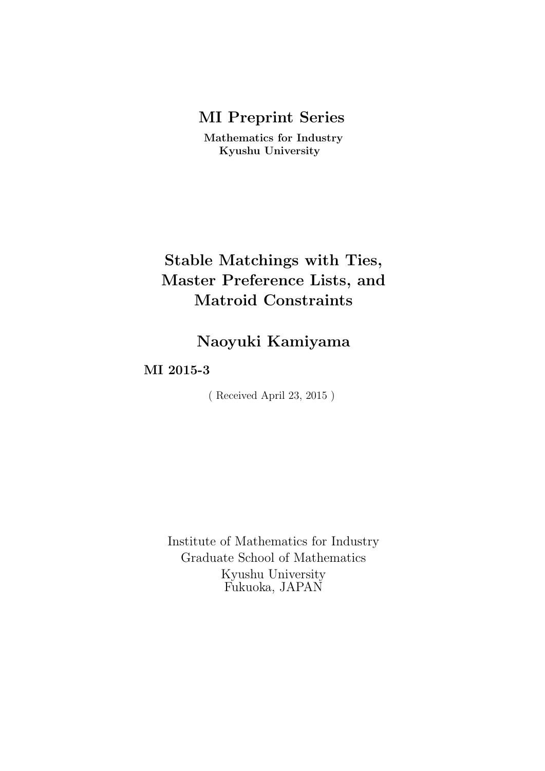## **MI Preprint Series**

**Mathematics for Industry Kyushu University**

## **Stable Matchings with Ties, Master Preference Lists, and Matroid Constraints**

## **Naoyuki Kamiyama**

## **MI 2015-3**

( Received April 23, 2015 )

Institute of Mathematics for Industry Graduate School of Mathematics Kyushu University Fukuoka, JAPAN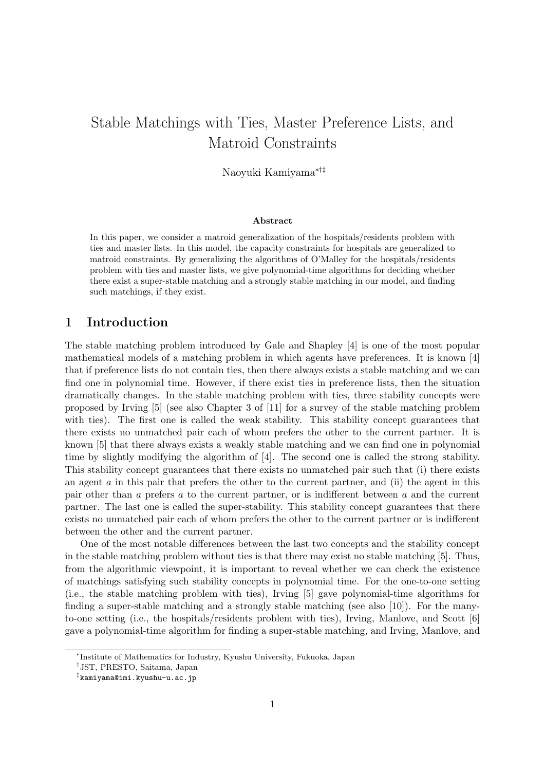## Stable Matchings with Ties, Master Preference Lists, and Matroid Constraints

Naoyuki Kamiyama*∗†‡*

#### **Abstract**

In this paper, we consider a matroid generalization of the hospitals/residents problem with ties and master lists. In this model, the capacity constraints for hospitals are generalized to matroid constraints. By generalizing the algorithms of O'Malley for the hospitals/residents problem with ties and master lists, we give polynomial-time algorithms for deciding whether there exist a super-stable matching and a strongly stable matching in our model, and finding such matchings, if they exist.

## **1 Introduction**

The stable matching problem introduced by Gale and Shapley [4] is one of the most popular mathematical models of a matching problem in which agents have preferences. It is known [4] that if preference lists do not contain ties, then there always exists a stable matching and we can find one in polynomial time. However, if there exist ties in preference lists, then the situation dramatically changes. In the stable matching problem with ties, three stability concepts were proposed by Irving [5] (see also Chapter 3 of [11] for a survey of the stable matching problem with ties). The first one is called the weak stability. This stability concept guarantees that there exists no unmatched pair each of whom prefers the other to the current partner. It is known [5] that there always exists a weakly stable matching and we can find one in polynomial time by slightly modifying the algorithm of [4]. The second one is called the strong stability. This stability concept guarantees that there exists no unmatched pair such that (i) there exists an agent *a* in this pair that prefers the other to the current partner, and (ii) the agent in this pair other than *a* prefers *a* to the current partner, or is indifferent between *a* and the current partner. The last one is called the super-stability. This stability concept guarantees that there exists no unmatched pair each of whom prefers the other to the current partner or is indifferent between the other and the current partner.

One of the most notable differences between the last two concepts and the stability concept in the stable matching problem without ties is that there may exist no stable matching [5]. Thus, from the algorithmic viewpoint, it is important to reveal whether we can check the existence of matchings satisfying such stability concepts in polynomial time. For the one-to-one setting (i.e., the stable matching problem with ties), Irving [5] gave polynomial-time algorithms for finding a super-stable matching and a strongly stable matching (see also [10]). For the manyto-one setting (i.e., the hospitals/residents problem with ties), Irving, Manlove, and Scott [6] gave a polynomial-time algorithm for finding a super-stable matching, and Irving, Manlove, and

*<sup>∗</sup>* Institute of Mathematics for Industry, Kyushu University, Fukuoka, Japan

*<sup>†</sup>* JST, PRESTO, Saitama, Japan

*<sup>‡</sup>* kamiyama@imi.kyushu-u.ac.jp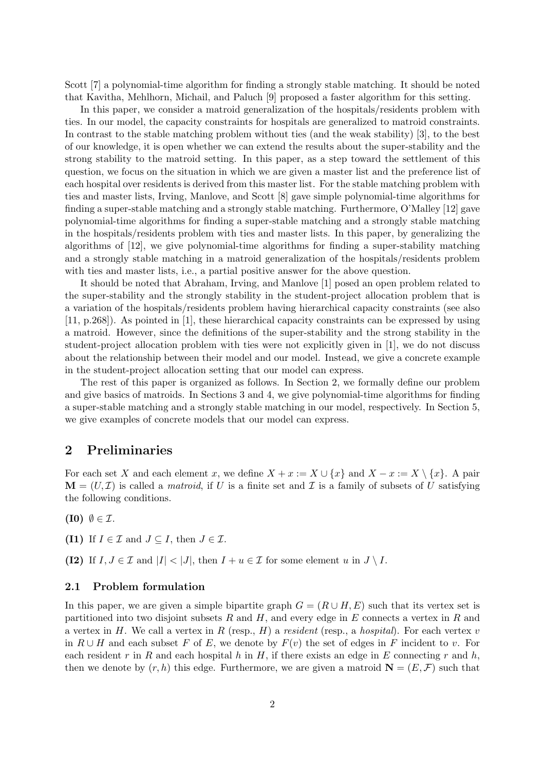Scott [7] a polynomial-time algorithm for finding a strongly stable matching. It should be noted that Kavitha, Mehlhorn, Michail, and Paluch [9] proposed a faster algorithm for this setting.

In this paper, we consider a matroid generalization of the hospitals/residents problem with ties. In our model, the capacity constraints for hospitals are generalized to matroid constraints. In contrast to the stable matching problem without ties (and the weak stability) [3], to the best of our knowledge, it is open whether we can extend the results about the super-stability and the strong stability to the matroid setting. In this paper, as a step toward the settlement of this question, we focus on the situation in which we are given a master list and the preference list of each hospital over residents is derived from this master list. For the stable matching problem with ties and master lists, Irving, Manlove, and Scott [8] gave simple polynomial-time algorithms for finding a super-stable matching and a strongly stable matching. Furthermore, O'Malley [12] gave polynomial-time algorithms for finding a super-stable matching and a strongly stable matching in the hospitals/residents problem with ties and master lists. In this paper, by generalizing the algorithms of [12], we give polynomial-time algorithms for finding a super-stability matching and a strongly stable matching in a matroid generalization of the hospitals/residents problem with ties and master lists, i.e., a partial positive answer for the above question.

It should be noted that Abraham, Irving, and Manlove [1] posed an open problem related to the super-stability and the strongly stability in the student-project allocation problem that is a variation of the hospitals/residents problem having hierarchical capacity constraints (see also [11, p.268]). As pointed in [1], these hierarchical capacity constraints can be expressed by using a matroid. However, since the definitions of the super-stability and the strong stability in the student-project allocation problem with ties were not explicitly given in [1], we do not discuss about the relationship between their model and our model. Instead, we give a concrete example in the student-project allocation setting that our model can express.

The rest of this paper is organized as follows. In Section 2, we formally define our problem and give basics of matroids. In Sections 3 and 4, we give polynomial-time algorithms for finding a super-stable matching and a strongly stable matching in our model, respectively. In Section 5, we give examples of concrete models that our model can express.

### **2 Preliminaries**

For each set *X* and each element *x*, we define  $X + x := X \cup \{x\}$  and  $X - x := X \setminus \{x\}$ . A pair  $\mathbf{M} = (U, \mathcal{I})$  is called a *matroid*, if *U* is a finite set and *I* is a family of subsets of *U* satisfying the following conditions.

 $(I0)$   $\emptyset \in \mathcal{I}$ .

- (I1) If  $I \in \mathcal{I}$  and  $J \subseteq I$ , then  $J \in \mathcal{I}$ .
- **(I2)** If  $I, J \in \mathcal{I}$  and  $|I| < |J|$ , then  $I + u \in \mathcal{I}$  for some element  $u$  in  $J \setminus I$ .

#### **2.1 Problem formulation**

In this paper, we are given a simple bipartite graph  $G = (R \cup H, E)$  such that its vertex set is partitioned into two disjoint subsets *R* and *H*, and every edge in *E* connects a vertex in *R* and a vertex in *H*. We call a vertex in *R* (resp., *H*) a *resident* (resp., a *hospital*). For each vertex *v* in  $R \cup H$  and each subset *F* of *E*, we denote by  $F(v)$  the set of edges in *F* incident to *v*. For each resident  $r$  in  $R$  and each hospital  $h$  in  $H$ , if there exists an edge in  $E$  connecting  $r$  and  $h$ , then we denote by  $(r, h)$  this edge. Furthermore, we are given a matroid  $\mathbf{N} = (E, \mathcal{F})$  such that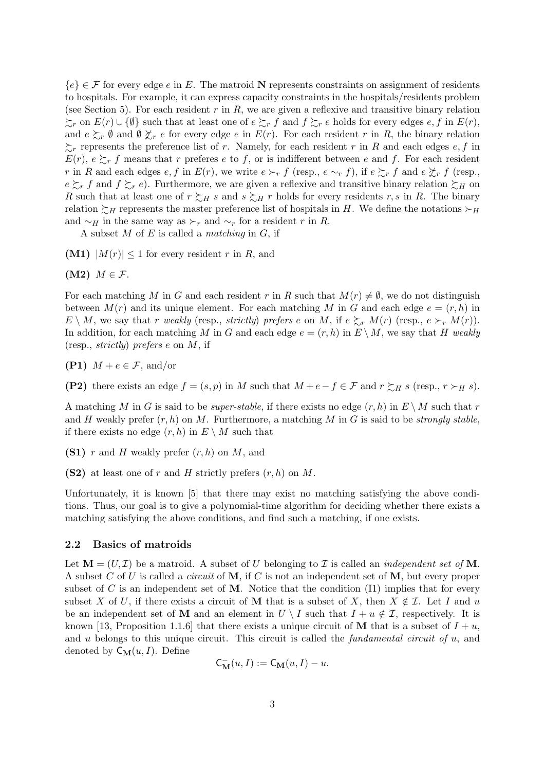${e} \in \mathcal{F}$  for every edge *e* in *E*. The matroid **N** represents constraints on assignment of residents to hospitals. For example, it can express capacity constraints in the hospitals/residents problem (see Section 5). For each resident *r* in *R*, we are given a reflexive and transitive binary relation ≿*<sup>r</sup>* on *E*(*r*) *∪ {∅}* such that at least one of *e* ≿*<sup>r</sup> f* and *f* ≿*<sup>r</sup> e* holds for every edges *e, f* in *E*(*r*), and  $e \succsim r \emptyset$  and  $\emptyset \not\succeq r$  *e* for every edge *e* in  $E(r)$ . For each resident *r* in *R*, the binary relation  $\sum_{r}$  represents the preference list of *r*. Namely, for each resident *r* in *R* and each edges *e*, *f* in  $E(r)$ ,  $e \succsim r$  *f* means that *r* preferes *e* to *f*, or is indifferent between *e* and *f*. For each resident r in R and each edges  $e, f$  in  $E(r)$ , we write  $e \succ_r f$  (resp.,  $e \sim_r f$ ), if  $e \succsim_r f$  and  $e \not\preceq_r f$  (resp.,  $e \succsim r f$  and  $f \succsim r e$ ). Furthermore, we are given a reflexive and transitive binary relation  $\succsim H$  on *R* such that at least one of  $r \succsim_H s$  and  $s \succsim_H r$  holds for every residents *r*, *s* in *R*. The binary relation  $\succeq$ *H* represents the master preference list of hospitals in *H*. We define the notations  $\succ$ *H* and  $~\sim$ *H* in the same way as  $\succ_r$  and  $\sim$ *r* for a resident *r* in *R*.

A subset *M* of *E* is called a *matching* in *G*, if

**(M1)**  $|M(r)| \leq 1$  for every resident *r* in *R*, and

**(M2)**  $M \in \mathcal{F}$ .

For each matching *M* in *G* and each resident *r* in *R* such that  $M(r) \neq \emptyset$ , we do not distinguish between  $M(r)$  and its unique element. For each matching M in G and each edge  $e = (r, h)$  in  $E \setminus M$ , we say that *r weakly* (resp., *strictly*) *prefers e* on *M*, if  $e \succeq_r M(r)$  (resp.,  $e \succ_r M(r)$ ). In addition, for each matching *M* in *G* and each edge  $e = (r, h)$  in  $E \setminus M$ , we say that *H* weakly (resp., *strictly*) *prefers e* on *M*, if

**(P1)**  $M + e \in \mathcal{F}$ , and/or

**(P2)** there exists an edge  $f = (s, p)$  in *M* such that  $M + e - f \in \mathcal{F}$  and  $r \succsim_H s$  (resp.,  $r \succ_H s$ ).

A matching *M* in *G* is said to be *super-stable*, if there exists no edge  $(r, h)$  in  $E \setminus M$  such that *r* and *H* weakly prefer (*r, h*) on *M*. Furthermore, a matching *M* in *G* is said to be *strongly stable*, if there exists no edge  $(r, h)$  in  $E \setminus M$  such that

**(S1)** *r* and *H* weakly prefer (*r, h*) on *M*, and

**(S2)** at least one of *r* and *H* strictly prefers (*r, h*) on *M*.

Unfortunately, it is known [5] that there may exist no matching satisfying the above conditions. Thus, our goal is to give a polynomial-time algorithm for deciding whether there exists a matching satisfying the above conditions, and find such a matching, if one exists.

#### **2.2 Basics of matroids**

Let  $\mathbf{M} = (U, \mathcal{I})$  be a matroid. A subset of *U* belonging to *I* is called an *independent set of* **M**. A subset *C* of *U* is called a *circuit* of **M**, if *C* is not an independent set of **M**, but every proper subset of *C* is an independent set of **M**. Notice that the condition  $(11)$  implies that for every subset *X* of *U*, if there exists a circuit of **M** that is a subset of *X*, then  $X \notin \mathcal{I}$ . Let *I* and *u* be an independent set of **M** and an element in  $U \setminus I$  such that  $I + u \notin I$ , respectively. It is known [13, Proposition 1.1.6] that there exists a unique circuit of **M** that is a subset of  $I + u$ , and *u* belongs to this unique circuit. This circuit is called the *fundamental circuit of u*, and denoted by  $C_M(u, I)$ . Define

$$
\mathsf{C}_{\mathbf{M}}^-(u,I) := \mathsf{C}_{\mathbf{M}}(u,I) - u.
$$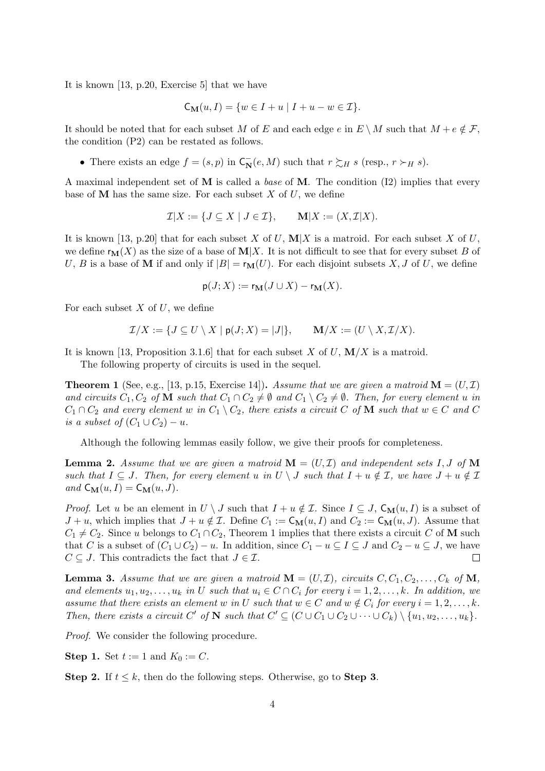It is known [13, p.20, Exercise 5] that we have

$$
C_{\mathbf{M}}(u,I) = \{ w \in I + u \mid I + u - w \in \mathcal{I} \}.
$$

It should be noted that for each subset *M* of *E* and each edge *e* in  $E \setminus M$  such that  $M + e \notin \mathcal{F}$ , the condition (P2) can be restated as follows.

• There exists an edge  $f = (s, p)$  in  $C_N^-(e, M)$  such that  $r \succsim_H s$  (resp.,  $r \succ_H s$ ).

A maximal independent set of **M** is called a *base* of **M**. The condition (I2) implies that every base of **M** has the same size. For each subset *X* of *U*, we define

$$
\mathcal{I}|X := \{ J \subseteq X \mid J \in \mathcal{I} \}, \qquad \mathbf{M}|X := (X, \mathcal{I}|X).
$$

It is known [13, p.20] that for each subset *X* of *U*,  $\mathbf{M}$ *|X* is a matroid. For each subset *X* of *U*, we define  $\mathbf{r}_{\mathbf{M}}(X)$  as the size of a base of  $\mathbf{M}|X$ . It is not difficult to see that for every subset *B* of *U*, *B* is a base of **M** if and only if  $|B| = r_M(U)$ . For each disjoint subsets X, J of U, we define

$$
\mathsf{p}(J;X) := \mathsf{r}_{\mathbf{M}}(J \cup X) - \mathsf{r}_{\mathbf{M}}(X).
$$

For each subset *X* of *U*, we define

$$
\mathcal{I}/X := \{ J \subseteq U \setminus X \mid \mathsf{p}(J;X) = |J| \}, \qquad \mathbf{M}/X := (U \setminus X, \mathcal{I}/X).
$$

It is known [13, Proposition 3.1.6] that for each subset *X* of *U*, **M***/X* is a matroid.

The following property of circuits is used in the sequel.

**Theorem 1** (See, e.g., [13, p.15, Exercise 14]). Assume that we are given a matroid  $\mathbf{M} = (U, \mathcal{I})$ and circuits  $C_1, C_2$  of **M** such that  $C_1 \cap C_2 \neq \emptyset$  and  $C_1 \setminus C_2 \neq \emptyset$ . Then, for every element u in  $C_1 \cap C_2$  *and every element w in*  $C_1 \setminus C_2$ *, there exists a circuit*  $C$  *of* **M** *such that*  $w \in C$  *and*  $C$ *is a subset of*  $(C_1 \cup C_2) - u$ *.* 

Although the following lemmas easily follow, we give their proofs for completeness.

**Lemma 2.** Assume that we are given a matroid  $\mathbf{M} = (U, \mathcal{I})$  and independent sets I, J of  $\mathbf{M}$ *such that*  $I \subseteq J$ *. Then, for every element*  $u$  *in*  $U \setminus J$  *such that*  $I + u \notin \mathcal{I}$ *, we have*  $J + u \notin \mathcal{I}$  $and \mathsf{C}_{\mathbf{M}}(u, I) = \mathsf{C}_{\mathbf{M}}(u, J).$ 

*Proof.* Let *u* be an element in  $U \setminus J$  such that  $I + u \notin \mathcal{I}$ . Since  $I \subseteq J$ ,  $C_M(u, I)$  is a subset of *J* + *u*, which implies that *J* + *u*  $\notin \mathcal{I}$ . Define  $C_1 := \mathsf{C}_{\mathbf{M}}(u, I)$  and  $C_2 := \mathsf{C}_{\mathbf{M}}(u, J)$ . Assume that  $C_1 \neq C_2$ . Since *u* belongs to  $C_1 \cap C_2$ , Theorem 1 implies that there exists a circuit *C* of **M** such that *C* is a subset of  $(C_1 \cup C_2) - u$ . In addition, since  $C_1 - u \subseteq I \subseteq J$  and  $C_2 - u \subseteq J$ , we have  $C \subseteq J$ . This contradicts the fact that  $J \in \mathcal{I}$ .  $\Box$ 

**Lemma 3.** Assume that we are given a matroid  $\mathbf{M} = (U, \mathcal{I})$ , circuits  $C, C_1, C_2, \ldots, C_k$  of  $\mathbf{M}$ , and elements  $u_1, u_2, \ldots, u_k$  in U such that  $u_i \in C \cap C_i$  for every  $i = 1, 2, \ldots, k$ . In addition, we assume that there exists an element w in U such that  $w \in C$  and  $w \notin C_i$  for every  $i = 1, 2, ..., k$ . Then, there exists a circuit C' of N such that  $C' \subseteq (C \cup C_1 \cup C_2 \cup \cdots \cup C_k) \setminus \{u_1, u_2, \ldots, u_k\}.$ 

*Proof.* We consider the following procedure.

**Step 1.** Set  $t := 1$  and  $K_0 := C$ .

**Step 2.** If  $t \leq k$ , then do the following steps. Otherwise, go to **Step 3**.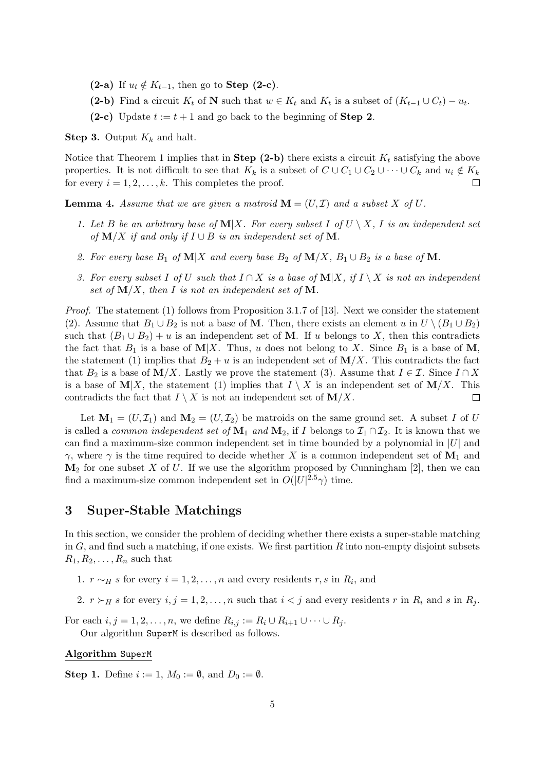- **(2-a)** If  $u_t \notin K_{t-1}$ , then go to **Step (2-c)**.
- (2-b) Find a circuit  $K_t$  of **N** such that  $w \in K_t$  and  $K_t$  is a subset of  $(K_{t-1} \cup C_t) u_t$ .
- **(2-c)** Update  $t := t + 1$  and go back to the beginning of **Step 2**.

**Step 3.** Output *K<sup>k</sup>* and halt.

Notice that Theorem 1 implies that in **Step (2-b)** there exists a circuit  $K_t$  satisfying the above properties. It is not difficult to see that  $K_k$  is a subset of  $C \cup C_1 \cup C_2 \cup \cdots \cup C_k$  and  $u_i \notin K_k$ for every  $i = 1, 2, \ldots, k$ . This completes the proof.  $\Box$ 

**Lemma 4.** Assume that we are given a matroid  $\mathbf{M} = (U, \mathcal{I})$  and a subset X of U.

- 1. Let *B* be an arbitrary base of  $M|X$ *. For every subset I* of  $U \setminus X$ *, I* is an independent set  $of$  **M***/X if and only if*  $I \cup B$  *is an independent set of* **M***.*
- 2. For every base  $B_1$  of  $\mathbf{M}|X$  and every base  $B_2$  of  $\mathbf{M}/X$ ,  $B_1 \cup B_2$  is a base of  $\mathbf{M}$ .
- *3.* For every subset *I* of *U* such that  $I ∩ X$  is a base of **M** $|X|$ *, if*  $I ∖ X$  *is not an independent* set of  $M/X$ , then I is not an independent set of M.

*Proof.* The statement (1) follows from Proposition 3.1.7 of [13]. Next we consider the statement (2). Assume that  $B_1 \cup B_2$  is not a base of **M**. Then, there exists an element *u* in  $U \setminus (B_1 \cup B_2)$ such that  $(B_1 \cup B_2) + u$  is an independent set of **M**. If *u* belongs to *X*, then this contradicts the fact that  $B_1$  is a base of  $M|X$ . Thus, *u* does not belong to *X*. Since  $B_1$  is a base of M, the statement (1) implies that  $B_2 + u$  is an independent set of  $\mathbf{M}/X$ . This contradicts the fact that  $B_2$  is a base of **M**/X. Lastly we prove the statement (3). Assume that  $I \in \mathcal{I}$ . Since  $I \cap X$ is a base of  $M|X$ , the statement (1) implies that  $I \setminus X$  is an independent set of  $M/X$ . This contradicts the fact that  $I \setminus X$  is not an independent set of  $M/X$ .  $\Box$ 

Let  $M_1 = (U, \mathcal{I}_1)$  and  $M_2 = (U, \mathcal{I}_2)$  be matroids on the same ground set. A subset *I* of *U* is called a *common independent set of*  $\mathbf{M}_1$  *and*  $\mathbf{M}_2$ , if *I* belongs to  $\mathcal{I}_1 \cap \mathcal{I}_2$ . It is known that we can find a maximum-size common independent set in time bounded by a polynomial in *|U|* and *γ*, where *γ* is the time required to decide whether *X* is a common independent set of  $M_1$  and  $\mathbf{M}_2$  for one subset *X* of *U*. If we use the algorithm proposed by Cunningham [2], then we can find a maximum-size common independent set in  $O(|U|^{2.5}\gamma)$  time.

## **3 Super-Stable Matchings**

In this section, we consider the problem of deciding whether there exists a super-stable matching in *G*, and find such a matching, if one exists. We first partition *R* into non-empty disjoint subsets  $R_1, R_2, \ldots, R_n$  such that

- 1. *r*  $\sim$ *H s* for every *i* = 1, 2, ..., *n* and every residents *r*, *s* in  $R_i$ , and
- 2.  $r \succ_H s$  for every  $i, j = 1, 2, \ldots, n$  such that  $i < j$  and every residents  $r$  in  $R_i$  and  $s$  in  $R_j$ .

For each  $i, j = 1, 2, \ldots, n$ , we define  $R_{i,j} := R_i \cup R_{i+1} \cup \cdots \cup R_j$ .

Our algorithm SuperM is described as follows.

#### **Algorithm** SuperM

**Step 1.** Define  $i := 1, M_0 := \emptyset$ , and  $D_0 := \emptyset$ .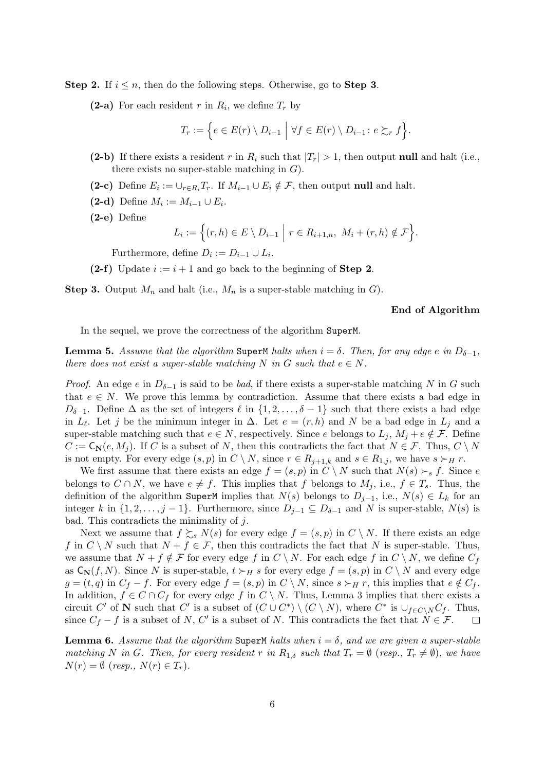**Step 2.** If  $i \leq n$ , then do the following steps. Otherwise, go to **Step 3**.

**(2-a)** For each resident *r* in  $R_i$ , we define  $T_r$  by

$$
T_r := \Big\{ e \in E(r) \setminus D_{i-1} \mid \forall f \in E(r) \setminus D_{i-1} \colon e \succsim_r f \Big\}.
$$

- **(2-b)** If there exists a resident *r* in  $R_i$  such that  $|T_r| > 1$ , then output **null** and halt (i.e., there exists no super-stable matching in *G*).
- **(2−c)** Define  $E_i := \bigcup_{r \in R_i} T_r$ . If  $M_{i-1} \cup E_i \notin \mathcal{F}$ , then output **null** and halt.
- $(2-d)$  Define  $M_i := M_{i-1} \cup E_i$ .
- **(2-e)** Define

$$
L_i := \Big\{ (r,h) \in E \setminus D_{i-1} \mid r \in R_{i+1,n}, M_i + (r,h) \notin \mathcal{F} \Big\}.
$$

Furthermore, define  $D_i := D_{i-1} \cup L_i$ .

**(2-f)** Update  $i := i + 1$  and go back to the beginning of **Step 2**.

**Step 3.** Output *M<sup>n</sup>* and halt (i.e., *M<sup>n</sup>* is a super-stable matching in *G*).

#### **End of Algorithm**

In the sequel, we prove the correctness of the algorithm SuperM.

**Lemma 5.** *Assume that the algorithm* SuperM *halts when*  $i = \delta$ *. Then, for any edge*  $e$  *in*  $D_{\delta-1}$ *, there does not exist a super-stable matching*  $N$  *in*  $G$  *such that*  $e \in N$ *.* 

*Proof.* An edge *e* in  $D_{\delta-1}$  is said to be *bad*, if there exists a super-stable matching *N* in *G* such that  $e \in N$ . We prove this lemma by contradiction. Assume that there exists a bad edge in *D*<sup> $δ$ </sup><sup>−1</sup>. Define  $\Delta$  as the set of integers  $\ell$  in  $\{1, 2, \ldots, \delta - 1\}$  such that there exists a bad edge in  $L_{\ell}$ . Let *j* be the minimum integer in  $\Delta$ . Let  $e = (r, h)$  and *N* be a bad edge in  $L_j$  and a super-stable matching such that  $e \in N$ , respectively. Since *e* belongs to  $L_j$ ,  $M_j + e \notin \mathcal{F}$ . Define  $C := \mathsf{C}_{\mathbb{N}}(e, M_i)$ . If *C* is a subset of *N*, then this contradicts the fact that  $N \in \mathcal{F}$ . Thus,  $C \setminus N$ is not empty. For every edge  $(s, p)$  in  $C \setminus N$ , since  $r \in R_{j+1,k}$  and  $s \in R_{1,j}$ , we have  $s \succ_H r$ .

We first assume that there exists an edge  $f = (s, p)$  in  $C \setminus N$  such that  $N(s) \succ_s f$ . Since *e* belongs to  $C \cap N$ , we have  $e \neq f$ . This implies that  $f$  belongs to  $M_j$ , i.e.,  $f \in T_s$ . Thus, the definition of the algorithm SuperM implies that  $N(s)$  belongs to  $D_{j-1}$ , i.e.,  $N(s) \in L_k$  for an integer *k* in  $\{1, 2, \ldots, j - 1\}$ . Furthermore, since  $D_{j-1} \subseteq D_{\delta-1}$  and *N* is super-stable, *N*(*s*) is bad. This contradicts the minimality of *j*.

Next we assume that  $f \succeq_s N(s)$  for every edge  $f = (s, p)$  in  $C \setminus N$ . If there exists an edge *f* in  $C \setminus N$  such that  $N + f \in \mathcal{F}$ , then this contradicts the fact that  $N$  is super-stable. Thus, we assume that  $N + f \notin \mathcal{F}$  for every edge f in  $C \setminus N$ . For each edge f in  $C \setminus N$ , we define  $C_f$ as  $C_N(f, N)$ . Since *N* is super-stable,  $t \succ_H s$  for every edge  $f = (s, p)$  in  $C \setminus N$  and every edge  $g = (t, q)$  in  $C_f - f$ . For every edge  $f = (s, p)$  in  $C \setminus N$ , since  $s \succ_H r$ , this implies that  $e \notin C_f$ . In addition,  $f \in C \cap C_f$  for every edge  $f$  in  $C \setminus N$ . Thus, Lemma 3 implies that there exists a circuit C' of N such that C' is a subset of  $(C \cup C^*) \setminus (C \setminus N)$ , where  $C^*$  is  $\cup_{f \in C \setminus N} C_f$ . Thus, since  $C_f - f$  is a subset of *N*,  $C'$  is a subset of *N*. This contradicts the fact that  $N \in \mathcal{F}$ .

**Lemma 6.** Assume that the algorithm SuperM halts when  $i = \delta$ , and we are given a super-stable matching N in G. Then, for every resident r in  $R_{1,\delta}$  such that  $T_r = \emptyset$  (resp.,  $T_r \neq \emptyset$ ), we have  $N(r) = \emptyset$  (*resp.,*  $N(r) \in T_r$ ).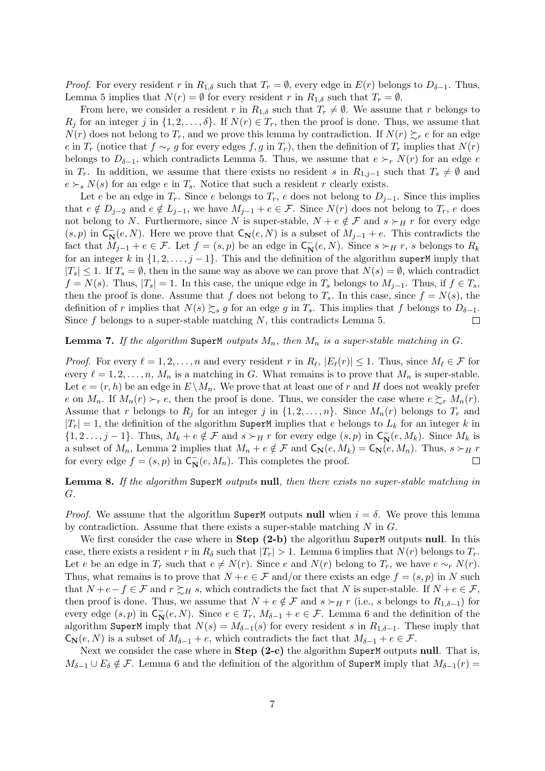*Proof.* For every resident *r* in  $R_{1,\delta}$  such that  $T_r = \emptyset$ , every edge in  $E(r)$  belongs to  $D_{\delta-1}$ . Thus, Lemma 5 implies that  $N(r) = \emptyset$  for every resident *r* in  $R_{1,\delta}$  such that  $T_r = \emptyset$ .

From here, we consider a resident *r* in  $R_{1,\delta}$  such that  $T_r \neq \emptyset$ . We assume that *r* belongs to  $R_j$  for an integer *j* in  $\{1, 2, \ldots, \delta\}$ . If  $N(r) \in T_r$ , then the proof is done. Thus, we assume that *N*(*r*) does not belong to *T*<sub>*r*</sub>, and we prove this lemma by contradiction. If  $N(r) \succeq_r e$  for an edge *e* in  $T_r$  (notice that  $f \sim r$  *g* for every edges  $f, g$  in  $T_r$ ), then the definition of  $T_r$  implies that  $N(r)$ belongs to  $D_{\delta-1}$ , which contradicts Lemma 5. Thus, we assume that  $e \succ_r N(r)$  for an edge *e* in  $T_r$ . In addition, we assume that there exists no resident *s* in  $R_{1,j-1}$  such that  $T_s \neq \emptyset$  and  $e \succ_s N(s)$  for an edge *e* in  $T_s$ . Notice that such a resident *r* clearly exists.

Let *e* be an edge in  $T_r$ . Since *e* belongs to  $T_r$ , *e* does not belong to  $D_{i-1}$ . Since this implies that  $e \notin D_{j-2}$  and  $e \notin L_{j-1}$ , we have  $M_{j-1} + e \in \mathcal{F}$ . Since  $N(r)$  does not belong to  $T_r$ , e does not belong to *N*. Furthermore, since *N* is super-stable,  $N + e \notin \mathcal{F}$  and  $s \succ_H r$  for every edge  $(S, p)$  in  $C_N^-(e, N)$ . Here we prove that  $C_N(e, N)$  is a subset of  $M_{j-1} + e$ . This contradicts the fact that  $M_{j-1} + e \in \mathcal{F}$ . Let  $f = (s, p)$  be an edge in  $C_N^-(e, N)$ . Since  $s \succ_H r$ , *s* belongs to  $R_k$ for an integer  $k$  in  $\{1, 2, \ldots, j-1\}$ . This and the definition of the algorithm superM imply that *|T*<sub>*s*</sub> $\leq$  1. If *T*<sub>*s*</sub> =  $\emptyset$ , then in the same way as above we can prove that *N*(*s*) =  $\emptyset$ , which contradict  $f = N(s)$ . Thus,  $|T_s| = 1$ . In this case, the unique edge in  $T_s$  belongs to  $M_{i-1}$ . Thus, if  $f \in T_s$ , then the proof is done. Assume that *f* does not belong to  $T_s$ . In this case, since  $f = N(s)$ , the definition of *r* implies that  $N(s) \succsim_s g$  for an edge *g* in  $T_s$ . This implies that *f* belongs to  $D_{\delta-1}$ .<br>Since *f* belongs to a super-stable matching *N*, this contradicts Lemma 5. □ Since *f* belongs to a super-stable matching *N*, this contradicts Lemma 5.

#### **Lemma 7.** If the algorithm SuperM outputs  $M_n$ , then  $M_n$  is a super-stable matching in G.

*Proof.* For every  $\ell = 1, 2, \ldots, n$  and every resident *r* in  $R_{\ell}, |E_{\ell}(r)| \leq 1$ . Thus, since  $M_{\ell} \in \mathcal{F}$  for every  $\ell = 1, 2, \ldots, n$ ,  $M_n$  is a matching in *G*. What remains is to prove that  $M_n$  is super-stable. Let  $e = (r, h)$  be an edge in  $E \backslash M_n$ . We prove that at least one of r and H does not weakly prefer *e* on  $M_n$ . If  $M_n(r) \succ_r e$ , then the proof is done. Thus, we consider the case where  $e \succsim_r M_n(r)$ . Assume that *r* belongs to  $R_j$  for an integer *j* in  $\{1, 2, \ldots, n\}$ . Since  $M_n(r)$  belongs to  $T_r$  and  $|T_r| = 1$ , the definition of the algorithm SuperM implies that *e* belongs to  $L_k$  for an integer *k* in  $\{1,2\ldots,j-1\}$ . Thus,  $M_k + e \notin \mathcal{F}$  and  $s \succ_H r$  for every edge  $(s,p)$  in  $C_N^-(e,M_k)$ . Since  $M_k$  is a subset of  $M_n$ , Lemma 2 implies that  $M_n + e \notin \mathcal{F}$  and  $C_{\mathbf{N}}(e, M_k) = C_{\mathbf{N}}(e, M_n)$ . Thus,  $s \succ_H r$ for every edge  $f = (s, p)$  in  $C_N^-(e, M_n)$ . This completes the proof.  $\Box$ 

### **Lemma 8.** *If the algorithm* SuperM *outputs* **null***, then there exists no super-stable matching in G.*

*Proof.* We assume that the algorithm SuperM outputs **null** when  $i = \delta$ . We prove this lemma by contradiction. Assume that there exists a super-stable matching *N* in *G*.

We first consider the case where in **Step (2-b)** the algorithm SuperM outputs **null**. In this case, there exists a resident *r* in  $R_\delta$  such that  $|T_r| > 1$ . Lemma 6 implies that  $N(r)$  belongs to  $T_r$ . Let *e* be an edge in  $T_r$  such that  $e \neq N(r)$ . Since *e* and  $N(r)$  belong to  $T_r$ , we have  $e \sim_r N(r)$ . Thus, what remains is to prove that  $N + e \in \mathcal{F}$  and/or there exists an edge  $f = (s, p)$  in *N* such that  $N + e - f \in \mathcal{F}$  and  $r \succsim_H s$ , which contradicts the fact that *N* is super-stable. If  $N + e \in \mathcal{F}$ , then proof is done. Thus, we assume that  $N + e \notin \mathcal{F}$  and  $s \succ_H r$  (i.e., *s* belongs to  $R_{1,\delta-1}$ ) for every edge  $(s, p)$  in  $C_N^-(e, N)$ . Since  $e \in T_r$ ,  $M_{\delta-1} + e \in \mathcal{F}$ . Lemma 6 and the definition of the algorithm SuperM imply that  $N(s) = M_{\delta-1}(s)$  for every resident *s* in  $R_{1,\delta-1}$ . These imply that  $\mathsf{C}_{\mathbf{N}}(e, N)$  is a subset of  $M_{\delta-1} + e$ , which contradicts the fact that  $M_{\delta-1} + e \in \mathcal{F}$ .

Next we consider the case where in **Step (2-c)** the algorithm SuperM outputs **null**. That is, *M*<sup> $δ$ </sup>−1 *∪ E*<sup> $δ$ </sup>  $\notin$  *F*. Lemma 6 and the definition of the algorithm of SuperM imply that  $M_{δ-1}(r)$  =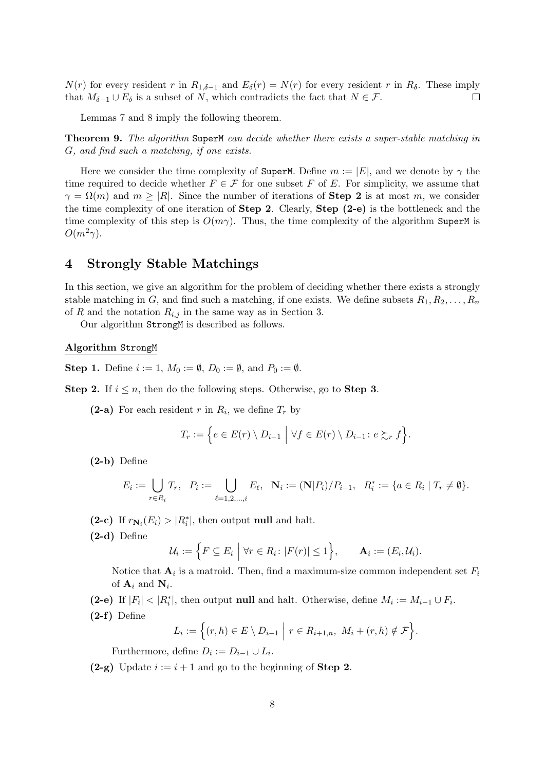*N*(*r*) for every resident *r* in  $R_{1,\delta-1}$  and  $E_{\delta}(r) = N(r)$  for every resident *r* in  $R_{\delta}$ . These imply that  $M_{\delta-1} \cup E_{\delta}$  is a subset of *N*, which contradicts the fact that  $N \in \mathcal{F}$ . that  $M_{\delta-1} \cup E_{\delta}$  is a subset of *N*, which contradicts the fact that  $N \in \mathcal{F}$ .

Lemmas 7 and 8 imply the following theorem.

**Theorem 9.** *The algorithm* SuperM *can decide whether there exists a super-stable matching in G, and find such a matching, if one exists.*

Here we consider the time complexity of SuperM. Define  $m := |E|$ , and we denote by  $\gamma$  the time required to decide whether  $F \in \mathcal{F}$  for one subset *F* of *E*. For simplicity, we assume that  $\gamma = \Omega(m)$  and  $m > |R|$ . Since the number of iterations of **Step 2** is at most *m*, we consider the time complexity of one iteration of **Step 2**. Clearly, **Step (2-e)** is the bottleneck and the time complexity of this step is  $O(m\gamma)$ . Thus, the time complexity of the algorithm SuperM is  $O(m^2\gamma)$ .

## **4 Strongly Stable Matchings**

In this section, we give an algorithm for the problem of deciding whether there exists a strongly stable matching in *G*, and find such a matching, if one exists. We define subsets  $R_1, R_2, \ldots, R_n$ of *R* and the notation  $R_{i,j}$  in the same way as in Section 3.

Our algorithm StrongM is described as follows.

#### **Algorithm** StrongM

**Step 1.** Define  $i := 1, M_0 := \emptyset, D_0 := \emptyset$ , and  $P_0 := \emptyset$ .

**Step 2.** If  $i \leq n$ , then do the following steps. Otherwise, go to **Step 3**.

**(2-a)** For each resident *r* in  $R_i$ , we define  $T_r$  by

$$
T_r := \Big\{ e \in E(r) \setminus D_{i-1} \mid \forall f \in E(r) \setminus D_{i-1} \colon e \succsim_r f \Big\}.
$$

**(2-b)** Define

$$
E_i := \bigcup_{r \in R_i} T_r, \ \ P_i := \bigcup_{\ell=1,2,\dots,i} E_\ell, \ \ \mathbf{N}_i := (\mathbf{N}|P_i)/P_{i-1}, \ \ R_i^* := \{a \in R_i \mid T_r \neq \emptyset\}.
$$

(2-c) If  $r_{\mathbf{N}_i}(E_i) > |R_i^*|$ , then output **null** and halt.

**(2-d)** Define

$$
\mathcal{U}_i := \Big\{ F \subseteq E_i \mid \forall r \in R_i \colon |F(r)| \leq 1 \Big\}, \qquad \mathbf{A}_i := (E_i, \mathcal{U}_i).
$$

Notice that  $\mathbf{A}_i$  is a matroid. Then, find a maximum-size common independent set  $F_i$ of  $\mathbf{A}_i$  and  $\mathbf{N}_i$ .

(2-e) If  $|F_i| < |R_i^*|$ , then output **null** and halt. Otherwise, define  $M_i := M_{i-1} \cup F_i$ .

**(2-f)** Define

$$
L_i := \Big\{ (r,h) \in E \setminus D_{i-1} \mid r \in R_{i+1,n}, \ M_i + (r,h) \notin \mathcal{F} \Big\}.
$$

Furthermore, define  $D_i := D_{i-1} \cup L_i$ .

**(2-g)** Update *i* := *i* + 1 and go to the beginning of **Step 2**.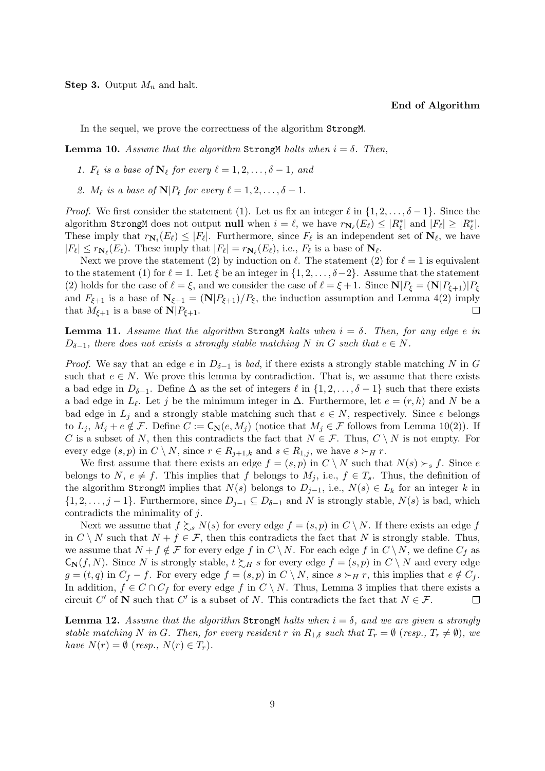**Step 3.** Output *M<sup>n</sup>* and halt.

#### **End of Algorithm**

In the sequel, we prove the correctness of the algorithm StrongM.

**Lemma 10.** *Assume that the algorithm* Strong M *halts when*  $i = \delta$ . *Then,* 

- *1.*  $F_{\ell}$  is a base of  $N_{\ell}$  for every  $\ell = 1, 2, \ldots, \delta 1$ , and
- 2.  $M_{\ell}$  is a base of  $\mathbf{N} | P_{\ell}$  for every  $\ell = 1, 2, \ldots, \delta 1$ .

*Proof.* We first consider the statement (1). Let us fix an integer  $\ell$  in  $\{1, 2, \ldots, \delta - 1\}$ . Since the algorithm StrongM does not output null when  $i = \ell$ , we have  $r_{\mathbf{N}_{\ell}}(E_{\ell}) \leq |R_{\ell}^*|$  and  $|F_{\ell}| \geq |R_{\ell}^*|$ . These imply that  $r_{\mathbf{N}_i}(E_\ell) \leq |F_\ell|$ . Furthermore, since  $F_\ell$  is an independent set of  $\mathbf{N}_\ell$ , we have  $|F_{\ell}| \leq r_{\mathbf{N}_{\ell}}(E_{\ell})$ . These imply that  $|F_{\ell}| = r_{\mathbf{N}_{\ell}}(E_{\ell}),$  i.e.,  $F_{\ell}$  is a base of  $\mathbf{N}_{\ell}$ .

Next we prove the statement (2) by induction on  $\ell$ . The statement (2) for  $\ell = 1$  is equivalent to the statement (1) for  $\ell = 1$ . Let  $\xi$  be an integer in  $\{1, 2, \ldots, \delta - 2\}$ . Assume that the statement (2) holds for the case of  $\ell = \xi$ , and we consider the case of  $\ell = \xi + 1$ . Since  $N|P_{\xi} = (N|P_{\xi+1})|P_{\xi}$ and  $F_{\xi+1}$  is a base of  $N_{\xi+1} = (N|P_{\xi+1})/P_{\xi}$ , the induction assumption and Lemma 4(2) imply that  $M_{\xi+1}$  is a base of  $\mathbf{N}|P_{\xi+1}$ .  $\Box$ 

**Lemma 11.** *Assume that the algorithm* Strong M *halts when*  $i = \delta$ . *Then, for any edge e in*  $D_{\delta-1}$ , there does not exists a strongly stable matching N in G such that  $e \in N$ .

*Proof.* We say that an edge *e* in  $D_{\delta-1}$  is *bad*, if there exists a strongly stable matching *N* in *G* such that  $e \in N$ . We prove this lemma by contradiction. That is, we assume that there exists a bad edge in  $D_{\delta-1}$ . Define  $\Delta$  as the set of integers  $\ell$  in  $\{1, 2, \ldots, \delta - 1\}$  such that there exists a bad edge in  $L_{\ell}$ . Let *j* be the minimum integer in  $\Delta$ . Furthermore, let  $e = (r, h)$  and *N* be a bad edge in  $L_j$  and a strongly stable matching such that  $e \in N$ , respectively. Since *e* belongs to  $L_j$ ,  $M_j + e \notin \mathcal{F}$ . Define  $C := \mathsf{C}_{\mathbb{N}}(e, M_j)$  (notice that  $M_j \in \mathcal{F}$  follows from Lemma 10(2)). If *C* is a subset of *N*, then this contradicts the fact that  $N \in \mathcal{F}$ . Thus,  $C \setminus N$  is not empty. For every edge  $(s, p)$  in  $C \setminus N$ , since  $r \in R_{j+1,k}$  and  $s \in R_{1,j}$ , we have  $s \succ_H r$ .

We first assume that there exists an edge  $f = (s, p)$  in  $C \setminus N$  such that  $N(s) \succ_s f$ . Since *e* belongs to *N*,  $e \neq f$ . This implies that *f* belongs to  $M_j$ , i.e.,  $f \in T_s$ . Thus, the definition of the algorithm StrongM implies that  $N(s)$  belongs to  $D_{j-1}$ , i.e.,  $N(s) \in L_k$  for an integer  $k$  in *{*1*,* 2*, . . . , j* − 1*}*. Furthermore, since  $D_{j-1}$  ⊆  $D_{\delta-1}$  and  $N$  is strongly stable,  $N(s)$  is bad, which contradicts the minimality of *j*.

Next we assume that  $f \succeq_s N(s)$  for every edge  $f = (s, p)$  in  $C \setminus N$ . If there exists an edge  $f$ in  $C \setminus N$  such that  $N + f \in \mathcal{F}$ , then this contradicts the fact that  $N$  is strongly stable. Thus, we assume that  $N + f \notin \mathcal{F}$  for every edge f in  $C \setminus N$ . For each edge f in  $C \setminus N$ , we define  $C_f$  as  $C_N(f, N)$ . Since *N* is strongly stable,  $t \succsim_H s$  for every edge  $f = (s, p)$  in  $C \setminus N$  and every edge  $g = (t, q)$  in  $C_f - f$ . For every edge  $f = (s, p)$  in  $C \setminus N$ , since  $s \succ_H r$ , this implies that  $e \notin C_f$ . In addition,  $f \in C \cap C_f$  for every edge  $f$  in  $C \setminus N$ . Thus, Lemma 3 implies that there exists a circuit *C*<sup> $\prime$ </sup> of **N** such that *C*<sup> $\prime$ </sup> is a subset of *N*. This contradicts the fact that  $N \in \mathcal{F}$ .  $\Box$ 

**Lemma 12.** *Assume that the algorithm* Strong M *halts when*  $i = \delta$ , and we are given a strongly stable matching N in G. Then, for every resident r in  $R_{1,\delta}$  such that  $T_r = \emptyset$  (resp.,  $T_r \neq \emptyset$ ), we *have*  $N(r) = \emptyset$  (*resp.,*  $N(r) \in T_r$ ).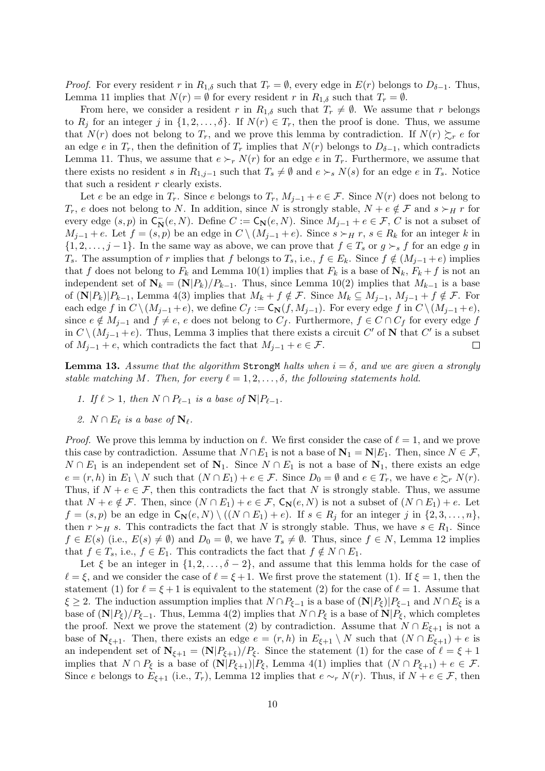*Proof.* For every resident *r* in  $R_{1,\delta}$  such that  $T_r = \emptyset$ , every edge in  $E(r)$  belongs to  $D_{\delta-1}$ . Thus, Lemma 11 implies that  $N(r) = \emptyset$  for every resident *r* in  $R_{1,\delta}$  such that  $T_r = \emptyset$ .

From here, we consider a resident *r* in  $R_{1,\delta}$  such that  $T_r \neq \emptyset$ . We assume that *r* belongs to  $R_i$  for an integer *j* in  $\{1, 2, \ldots, \delta\}$ . If  $N(r) \in T_r$ , then the proof is done. Thus, we assume that  $N(r)$  does not belong to  $T_r$ , and we prove this lemma by contradiction. If  $N(r) \succeq_r e$  for an edge *e* in  $T_r$ , then the definition of  $T_r$  implies that  $N(r)$  belongs to  $D_{\delta-1}$ , which contradicts Lemma 11. Thus, we assume that  $e \succ_r N(r)$  for an edge *e* in  $T_r$ . Furthermore, we assume that there exists no resident *s* in  $R_{1,j-1}$  such that  $T_s \neq \emptyset$  and  $e \succ_s N(s)$  for an edge *e* in  $T_s$ . Notice that such a resident *r* clearly exists.

Let *e* be an edge in  $T_r$ . Since *e* belongs to  $T_r$ ,  $M_{j-1} + e \in \mathcal{F}$ . Since  $N(r)$  does not belong to *T*<sup>*r*</sup>, *e* does not belong to *N*. In addition, since *N* is strongly stable,  $N + e \notin \mathcal{F}$  and  $s \succ_H r$  for every edge  $(s, p)$  in  $C_N^-(e, N)$ . Define  $C := C_N(e, N)$ . Since  $M_{j-1} + e \in \mathcal{F}$ ,  $C$  is not a subset of  $M_{j-1} + e$ . Let  $f = (s, p)$  be an edge in  $C \setminus (M_{j-1} + e)$ . Since  $s \succ_H r$ ,  $s \in R_k$  for an integer k in  $\{1, 2, \ldots, j-1\}$ . In the same way as above, we can prove that  $f \in T_s$  or  $g \succ_s f$  for an edge *g* in *T*<sub>s</sub>. The assumption of *r* implies that *f* belongs to *T*<sub>s</sub>, i.e., *f*  $\in E_k$ . Since  $f \notin (M_{i-1} + e)$  implies that *f* does not belong to  $F_k$  and Lemma 10(1) implies that  $F_k$  is a base of  $\mathbf{N}_k$ ,  $F_k + f$  is not an independent set of  $N_k = (N|P_k)/P_{k-1}$ . Thus, since Lemma 10(2) implies that  $M_{k-1}$  is a base of  $(N|P_k)|P_{k-1}$ , Lemma 4(3) implies that  $M_k + f \notin \mathcal{F}$ . Since  $M_k \subseteq M_{j-1}$ ,  $M_{j-1} + f \notin \mathcal{F}$ . For each edge f in  $C \setminus (M_{j-1}+e)$ , we define  $C_f := \mathsf{C}_{\mathbb{N}}(f, M_{j-1})$ . For every edge f in  $C \setminus (M_{j-1}+e)$ , since  $e \notin M_{j-1}$  and  $f \neq e$ , *e* does not belong to  $C_f$ . Furthermore,  $f \in C \cap C_f$  for every edge *f* in  $C \setminus (M_{j-1} + e)$ . Thus, Lemma 3 implies that there exists a circuit  $C'$  of **N** that  $C'$  is a subset of  $M_{j-1} + e$ , which contradicts the fact that  $M_{j-1} + e \in \mathcal{F}$ .  $\Box$ 

**Lemma 13.** Assume that the algorithm Strong M halts when  $i = \delta$ , and we are given a strongly *stable matching M. Then, for every*  $\ell = 1, 2, \ldots, \delta$ , the following statements hold.

- *1. If*  $\ell > 1$ *, then*  $N \cap P_{\ell-1}$  *is a base of*  $N|P_{\ell-1}$ *.*
- 2.  $N \cap E_{\ell}$  is a base of  $N_{\ell}$ .

*Proof.* We prove this lemma by induction on *ℓ*. We first consider the case of *ℓ* = 1, and we prove this case by contradiction. Assume that  $N \cap E_1$  is not a base of  $N_1 = N | E_1$ . Then, since  $N \in \mathcal{F}$ , *N* ∩ *E*<sub>1</sub> is an independent set of  $N_1$ . Since *N* ∩ *E*<sub>1</sub> is not a base of  $N_1$ , there exists an edge  $e = (r, h)$  in  $E_1 \setminus N$  such that  $(N \cap E_1) + e \in \mathcal{F}$ . Since  $D_0 = \emptyset$  and  $e \in T_r$ , we have  $e \succsim_r N(r)$ . Thus, if  $N + e \in \mathcal{F}$ , then this contradicts the fact that N is strongly stable. Thus, we assume that  $N + e \notin \mathcal{F}$ . Then, since  $(N \cap E_1) + e \in \mathcal{F}$ ,  $C_N(e, N)$  is not a subset of  $(N \cap E_1) + e$ . Let  $f = (s, p)$  be an edge in  $C_{\mathbf{N}}(e, N) \setminus ((N \cap E_1) + e)$ . If  $s \in R_i$  for an integer j in  $\{2, 3, ..., n\}$ , then  $r \succ_H s$ . This contradicts the fact that *N* is strongly stable. Thus, we have  $s \in R_1$ . Since *f* ∈ *E*(*s*) (i.e., *E*(*s*)  $\neq$  *Ø*) and *D*<sub>0</sub> = *Ø*, we have *T<sub>s</sub>*  $\neq$  *Ø*. Thus, since *f* ∈ *N*, Lemma 12 implies that  $f \in T_s$ , i.e.,  $f \in E_1$ . This contradicts the fact that  $f \notin N \cap E_1$ .

Let  $\xi$  be an integer in  $\{1, 2, \ldots, \delta - 2\}$ , and assume that this lemma holds for the case of  $\ell = \xi$ , and we consider the case of  $\ell = \xi + 1$ . We first prove the statement (1). If  $\xi = 1$ , then the statement (1) for  $\ell = \xi + 1$  is equivalent to the statement (2) for the case of  $\ell = 1$ . Assume that  $\xi \geq 2$ . The induction assumption implies that  $N \cap P_{\xi-1}$  is a base of  $(N|P_{\xi})|P_{\xi-1}$  and  $N \cap E_{\xi}$  is a base of  $(N|P_{\xi})/P_{\xi-1}$ . Thus, Lemma 4(2) implies that  $N \cap P_{\xi}$  is a base of  $N|P_{\xi}$ , which completes the proof. Next we prove the statement (2) by contradiction. Assume that  $N \cap E_{\xi+1}$  is not a base of  $N_{\xi+1}$ . Then, there exists an edge  $e = (r, h)$  in  $E_{\xi+1} \setminus N$  such that  $(N \cap E_{\xi+1}) + e$  is an independent set of  $N_{\xi+1} = (N|P_{\xi+1})/P_{\xi}$ . Since the statement (1) for the case of  $\ell = \xi + 1$ implies that  $N \cap P_{\xi}$  is a base of  $(N|P_{\xi+1})|P_{\xi}$ , Lemma 4(1) implies that  $(N \cap P_{\xi+1}) + e \in \mathcal{F}$ . Since *e* belongs to  $E_{\xi+1}$  (i.e.,  $T_r$ ), Lemma 12 implies that  $e \sim_r N(r)$ . Thus, if  $N + e \in \mathcal{F}$ , then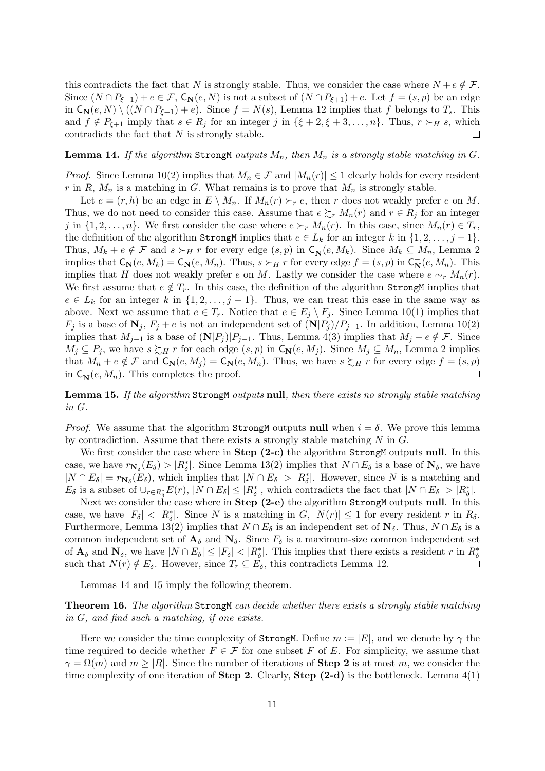this contradicts the fact that *N* is strongly stable. Thus, we consider the case where  $N + e \notin \mathcal{F}$ . Since  $(N \cap P_{\xi+1}) + e \in \mathcal{F}$ ,  $C_N(e, N)$  is not a subset of  $(N \cap P_{\xi+1}) + e$ . Let  $f = (s, p)$  be an edge in  $C_N(e, N) \setminus ((N \cap P_{\xi+1}) + e)$ . Since  $f = N(s)$ , Lemma 12 implies that *f* belongs to  $T_s$ . This and  $f \notin P_{\xi+1}$  imply that  $s \in R_j$  for an integer  $j$  in  $\{\xi+2,\xi+3,\ldots,n\}$ . Thus,  $r \succ_H s$ , which contradicts the fact that *N* is strongly stable.  $\Box$ 

#### **Lemma 14.** If the algorithm StrongM *outputs*  $M_n$ *, then*  $M_n$  *is a strongly stable matching in*  $G$ *.*

*Proof.* Since Lemma 10(2) implies that  $M_n \in \mathcal{F}$  and  $|M_n(r)| \leq 1$  clearly holds for every resident *r* in *R*,  $M_n$  is a matching in *G*. What remains is to prove that  $M_n$  is strongly stable.

Let  $e = (r, h)$  be an edge in  $E \setminus M_n$ . If  $M_n(r) \succ_r e$ , then *r* does not weakly prefer *e* on *M*. Thus, we do not need to consider this case. Assume that  $e \succsim_r M_n(r)$  and  $r \in R_j$  for an integer *j* in  $\{1, 2, \ldots, n\}$ . We first consider the case where  $e \succ_r M_n(r)$ . In this case, since  $M_n(r) \in T_r$ , the definition of the algorithm StrongM implies that  $e \in L_k$  for an integer  $k$  in  $\{1, 2, \ldots, j-1\}$ . Thus,  $M_k + e \notin \mathcal{F}$  and  $s \succ_H r$  for every edge  $(s, p)$  in  $C_N^-(e, M_k)$ . Since  $M_k \subseteq M_n$ , Lemma 2 implies that  $C_{\mathbf{N}}(e, M_k) = C_{\mathbf{N}}(e, M_n)$ . Thus,  $s \succ_H r$  for every edge  $f = (s, p)$  in  $C_{\mathbf{N}}(e, M_n)$ . This implies that *H* does not weakly prefer *e* on *M*. Lastly we consider the case where  $e \sim_r M_n(r)$ . We first assume that  $e \notin T_r$ . In this case, the definition of the algorithm StrongM implies that  $e \in L_k$  for an integer *k* in  $\{1, 2, \ldots, j-1\}$ . Thus, we can treat this case in the same way as above. Next we assume that  $e \in T_r$ . Notice that  $e \in E_j \setminus F_j$ . Since Lemma 10(1) implies that *F*<sup>*j*</sup> is a base of  $N_j$ ,  $F_j + e$  is not an independent set of  $(N|P_j)/P_{j-1}$ . In addition, Lemma 10(2) implies that  $M_{j-1}$  is a base of  $(N|P_j)|P_{j-1}$ . Thus, Lemma 4(3) implies that  $M_j + e \notin \mathcal{F}$ . Since *M*<sup>j</sup> ⊆ *P*<sup>*j*</sup>, we have  $s \succsim_H r$  for each edge  $(s, p)$  in  $C_N(e, M_j)$ . Since  $M_j ⊆ M_n$ , Lemma 2 implies that  $M_n + e \notin \mathcal{F}$  and  $\mathsf{C}_\mathbf{N}(e, M_j) = \mathsf{C}_\mathbf{N}(e, M_n)$ . Thus, we have  $s \succsim_H r$  for every edge  $f = (s, p)$ in  $C_N^-(e, M_n)$ . This completes the proof.  $\Box$ 

**Lemma 15.** *If the algorithm* StrongM *outputs* **null***, then there exists no strongly stable matching in G.*

*Proof.* We assume that the algorithm StrongM outputs **null** when  $i = \delta$ . We prove this lemma by contradiction. Assume that there exists a strongly stable matching *N* in *G*.

We first consider the case where in **Step (2-c)** the algorithm StrongM outputs **null**. In this case, we have  $r_{\mathbf{N}_\delta}(E_\delta) > |R^*_\delta|$ . Since Lemma 13(2) implies that  $N \cap E_\delta$  is a base of  $\mathbf{N}_\delta$ , we have  $|N \cap E_{\delta}| = r_{\mathbf{N}_{\delta}}(E_{\delta}),$  which implies that  $|N \cap E_{\delta}| > |R_{\delta}^*|$ . However, since N is a matching and  $E_{\delta}$  is a subset of  $\cup_{r \in R_{\delta}^*} E(r)$ ,  $|N \cap E_{\delta}| \leq |R_{\delta}^*|$ , which contradicts the fact that  $|N \cap E_{\delta}| > |R_{\delta}^*|$ .

Next we consider the case where in **Step (2-e)** the algorithm StrongM outputs **null**. In this case, we have  $|F_{\delta}| < |R_{\delta}^*|$ . Since N is a matching in G,  $|N(r)| \leq 1$  for every resident r in  $R_{\delta}$ . Furthermore, Lemma 13(2) implies that  $N \cap E_{\delta}$  is an independent set of  $\mathbf{N}_{\delta}$ . Thus,  $N \cap E_{\delta}$  is a common independent set of  $A_\delta$  and  $N_\delta$ . Since  $F_\delta$  is a maximum-size common independent set of  $\mathbf{A}_{\delta}$  and  $\mathbf{N}_{\delta}$ , we have  $|N \cap E_{\delta}| \leq |F_{\delta}| < |R_{\delta}^*|$ . This implies that there exists a resident r in  $R_{\delta}^*$ such that  $N(r) \notin E_{\delta}$ . However, since  $T_r \subseteq E_{\delta}$ , this contradicts Lemma 12.  $\Box$ 

Lemmas 14 and 15 imply the following theorem.

**Theorem 16.** *The algorithm* StrongM *can decide whether there exists a strongly stable matching in G, and find such a matching, if one exists.*

Here we consider the time complexity of StrongM. Define  $m := |E|$ , and we denote by  $\gamma$  the time required to decide whether  $F \in \mathcal{F}$  for one subset *F* of *E*. For simplicity, we assume that  $\gamma = \Omega(m)$  and  $m \geq |R|$ . Since the number of iterations of **Step 2** is at most *m*, we consider the time complexity of one iteration of **Step 2**. Clearly, **Step (2-d)** is the bottleneck. Lemma 4(1)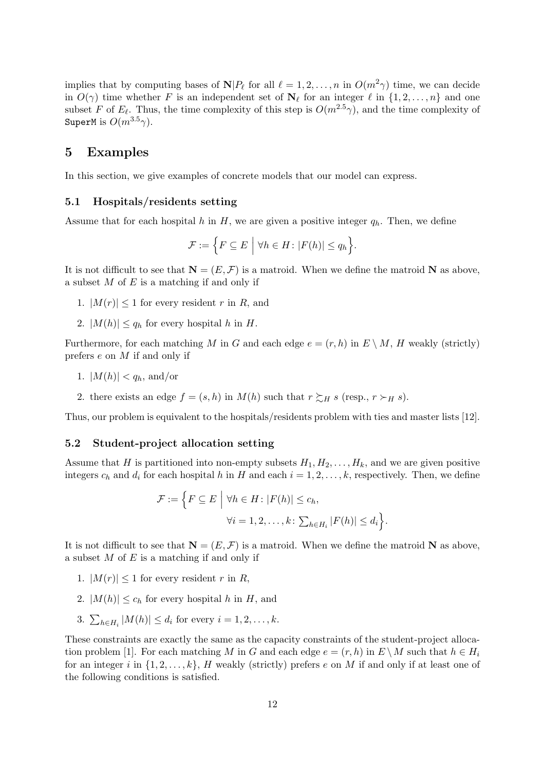implies that by computing bases of  $N|P_\ell$  for all  $\ell = 1, 2, \ldots, n$  in  $O(m^2\gamma)$  time, we can decide in  $O(\gamma)$  time whether *F* is an independent set of  $N_{\ell}$  for an integer  $\ell$  in  $\{1, 2, \ldots, n\}$  and one subset *F* of  $E_{\ell}$ . Thus, the time complexity of this step is  $O(m^{2.5}\gamma)$ , and the time complexity of SuperM is  $O(m^{3.5}\gamma)$ .

### **5 Examples**

In this section, we give examples of concrete models that our model can express.

#### **5.1 Hospitals/residents setting**

Assume that for each hospital *h* in *H*, we are given a positive integer  $q_h$ . Then, we define

$$
\mathcal{F} := \Big\{ F \subseteq E \mid \forall h \in H \colon |F(h)| \le q_h \Big\}.
$$

It is not difficult to see that  $\mathbf{N} = (E, \mathcal{F})$  is a matroid. When we define the matroid **N** as above, a subset *M* of *E* is a matching if and only if

- 1.  $|M(r)| \leq 1$  for every resident *r* in *R*, and
- 2.  $|M(h)| \leq q_h$  for every hospital *h* in *H*.

Furthermore, for each matching *M* in *G* and each edge  $e = (r, h)$  in  $E \setminus M$ , *H* weakly (strictly) prefers *e* on *M* if and only if

- 1.  $|M(h)| < q_h$ , and/or
- 2. there exists an edge  $f = (s, h)$  in  $M(h)$  such that  $r \succsim_H s$  (resp.,  $r \succ_H s$ ).

Thus, our problem is equivalent to the hospitals/residents problem with ties and master lists [12].

#### **5.2 Student-project allocation setting**

Assume that *H* is partitioned into non-empty subsets  $H_1, H_2, \ldots, H_k$ , and we are given positive integers  $c_h$  and  $d_i$  for each hospital  $h$  in  $H$  and each  $i = 1, 2, \ldots, k$ , respectively. Then, we define

$$
\mathcal{F} := \left\{ F \subseteq E \mid \forall h \in H : |F(h)| \le c_h, \forall i = 1, 2, \dots, k : \sum_{h \in H_i} |F(h)| \le d_i \right\}.
$$

It is not difficult to see that  $N = (E, \mathcal{F})$  is a matroid. When we define the matroid N as above, a subset *M* of *E* is a matching if and only if

- 1.  $|M(r)| < 1$  for every resident *r* in *R*,
- 2.  $|M(h)| \leq c_h$  for every hospital *h* in *H*, and
- 3.  $\sum_{h \in H_i} |M(h)| \le d_i$  for every  $i = 1, 2, ..., k$ .

These constraints are exactly the same as the capacity constraints of the student-project allocation problem [1]. For each matching *M* in *G* and each edge  $e = (r, h)$  in  $E \setminus M$  such that  $h \in H_i$ for an integer i in  $\{1, 2, \ldots, k\}$ , *H* weakly (strictly) prefers *e* on *M* if and only if at least one of the following conditions is satisfied.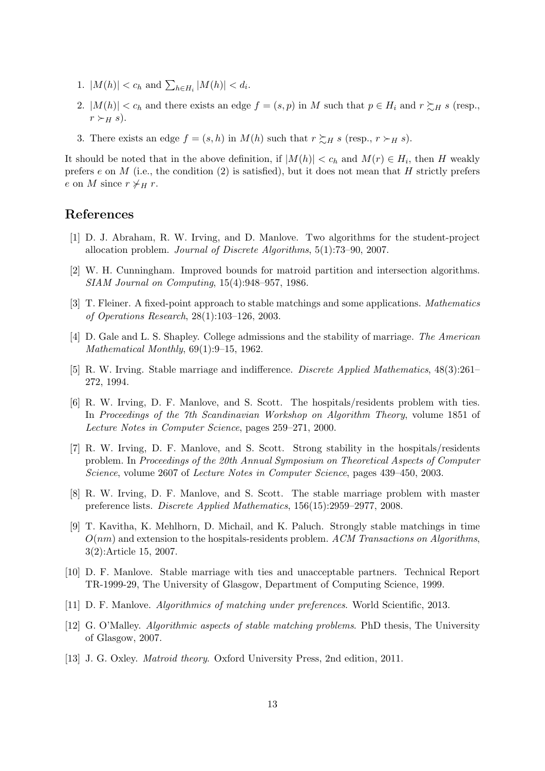- 1.  $|M(h)| < c_h$  and  $\sum_{h \in H_i} |M(h)| < d_i$ .
- 2.  $|M(h)| < c_h$  and there exists an edge  $f = (s, p)$  in M such that  $p \in H_i$  and  $r \succsim_H s$  (resp.,  $r \succ_H s$ ).
- 3. There exists an edge  $f = (s, h)$  in  $M(h)$  such that  $r \succsim_H s$  (resp.,  $r \succ_H s$ ).

It should be noted that in the above definition, if  $|M(h)| < c_h$  and  $M(r) \in H_i$ , then *H* weakly prefers *e* on *M* (i.e., the condition (2) is satisfied), but it does not mean that *H* strictly prefers *e* on *M* since  $r \neq_H r$ .

## **References**

- [1] D. J. Abraham, R. W. Irving, and D. Manlove. Two algorithms for the student-project allocation problem. *Journal of Discrete Algorithms*, 5(1):73–90, 2007.
- [2] W. H. Cunningham. Improved bounds for matroid partition and intersection algorithms. *SIAM Journal on Computing*, 15(4):948–957, 1986.
- [3] T. Fleiner. A fixed-point approach to stable matchings and some applications. *Mathematics of Operations Research*, 28(1):103–126, 2003.
- [4] D. Gale and L. S. Shapley. College admissions and the stability of marriage. *The American Mathematical Monthly*, 69(1):9–15, 1962.
- [5] R. W. Irving. Stable marriage and indifference. *Discrete Applied Mathematics*, 48(3):261– 272, 1994.
- [6] R. W. Irving, D. F. Manlove, and S. Scott. The hospitals/residents problem with ties. In *Proceedings of the 7th Scandinavian Workshop on Algorithm Theory*, volume 1851 of *Lecture Notes in Computer Science*, pages 259–271, 2000.
- [7] R. W. Irving, D. F. Manlove, and S. Scott. Strong stability in the hospitals/residents problem. In *Proceedings of the 20th Annual Symposium on Theoretical Aspects of Computer Science*, volume 2607 of *Lecture Notes in Computer Science*, pages 439–450, 2003.
- [8] R. W. Irving, D. F. Manlove, and S. Scott. The stable marriage problem with master preference lists. *Discrete Applied Mathematics*, 156(15):2959–2977, 2008.
- [9] T. Kavitha, K. Mehlhorn, D. Michail, and K. Paluch. Strongly stable matchings in time *O*(*nm*) and extension to the hospitals-residents problem. *ACM Transactions on Algorithms*, 3(2):Article 15, 2007.
- [10] D. F. Manlove. Stable marriage with ties and unacceptable partners. Technical Report TR-1999-29, The University of Glasgow, Department of Computing Science, 1999.
- [11] D. F. Manlove. *Algorithmics of matching under preferences*. World Scientific, 2013.
- [12] G. O'Malley. *Algorithmic aspects of stable matching problems*. PhD thesis, The University of Glasgow, 2007.
- [13] J. G. Oxley. *Matroid theory*. Oxford University Press, 2nd edition, 2011.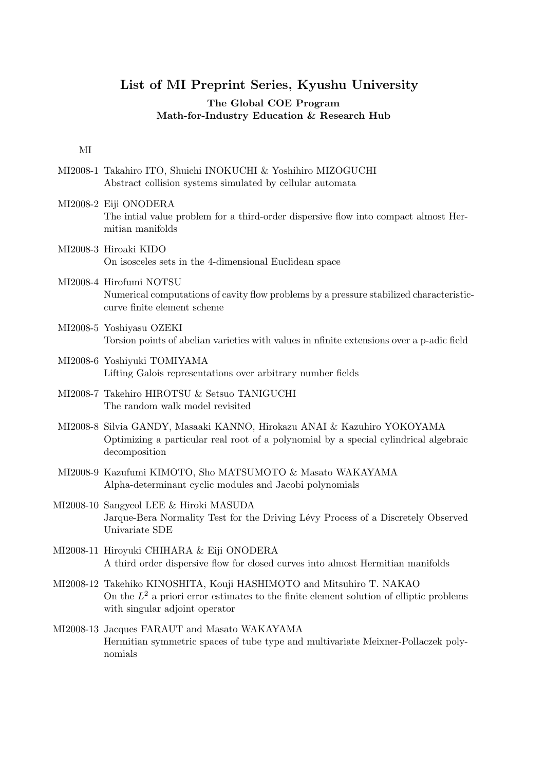## **List of MI Preprint Series, Kyushu University**

### **The Global COE Program Math-for-Industry Education & Research Hub**

#### MI

- MI2008-1 Takahiro ITO, Shuichi INOKUCHI & Yoshihiro MIZOGUCHI Abstract collision systems simulated by cellular automata
- MI2008-2 Eiji ONODERA The intial value problem for a third-order dispersive flow into compact almost Hermitian manifolds
- MI2008-3 Hiroaki KIDO On isosceles sets in the 4-dimensional Euclidean space
- MI2008-4 Hirofumi NOTSU Numerical computations of cavity flow problems by a pressure stabilized characteristiccurve finite element scheme
- MI2008-5 Yoshiyasu OZEKI Torsion points of abelian varieties with values in nfinite extensions over a p-adic field
- MI2008-6 Yoshiyuki TOMIYAMA Lifting Galois representations over arbitrary number fields
- MI2008-7 Takehiro HIROTSU & Setsuo TANIGUCHI The random walk model revisited
- MI2008-8 Silvia GANDY, Masaaki KANNO, Hirokazu ANAI & Kazuhiro YOKOYAMA Optimizing a particular real root of a polynomial by a special cylindrical algebraic decomposition
- MI2008-9 Kazufumi KIMOTO, Sho MATSUMOTO & Masato WAKAYAMA Alpha-determinant cyclic modules and Jacobi polynomials
- MI2008-10 Sangyeol LEE & Hiroki MASUDA Jarque-Bera Normality Test for the Driving Lévy Process of a Discretely Observed Univariate SDE
- MI2008-11 Hiroyuki CHIHARA & Eiji ONODERA A third order dispersive flow for closed curves into almost Hermitian manifolds
- MI2008-12 Takehiko KINOSHITA, Kouji HASHIMOTO and Mitsuhiro T. NAKAO On the  $L^2$  a priori error estimates to the finite element solution of elliptic problems with singular adjoint operator
- MI2008-13 Jacques FARAUT and Masato WAKAYAMA Hermitian symmetric spaces of tube type and multivariate Meixner-Pollaczek polynomials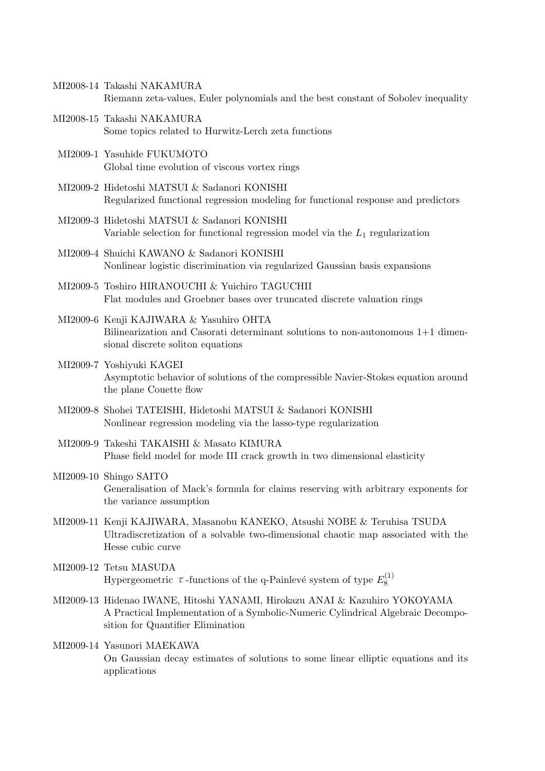- MI2008-14 Takashi NAKAMURA Riemann zeta-values, Euler polynomials and the best constant of Sobolev inequality
- MI2008-15 Takashi NAKAMURA Some topics related to Hurwitz-Lerch zeta functions
- MI2009-1 Yasuhide FUKUMOTO Global time evolution of viscous vortex rings
- MI2009-2 Hidetoshi MATSUI & Sadanori KONISHI Regularized functional regression modeling for functional response and predictors
- MI2009-3 Hidetoshi MATSUI & Sadanori KONISHI Variable selection for functional regression model via the *L*<sup>1</sup> regularization
- MI2009-4 Shuichi KAWANO & Sadanori KONISHI Nonlinear logistic discrimination via regularized Gaussian basis expansions
- MI2009-5 Toshiro HIRANOUCHI & Yuichiro TAGUCHII Flat modules and Groebner bases over truncated discrete valuation rings
- MI2009-6 Kenji KAJIWARA & Yasuhiro OHTA Bilinearization and Casorati determinant solutions to non-autonomous 1+1 dimensional discrete soliton equations
- MI2009-7 Yoshiyuki KAGEI Asymptotic behavior of solutions of the compressible Navier-Stokes equation around the plane Couette flow
- MI2009-8 Shohei TATEISHI, Hidetoshi MATSUI & Sadanori KONISHI Nonlinear regression modeling via the lasso-type regularization
- MI2009-9 Takeshi TAKAISHI & Masato KIMURA Phase field model for mode III crack growth in two dimensional elasticity
- MI2009-10 Shingo SAITO Generalisation of Mack's formula for claims reserving with arbitrary exponents for the variance assumption
- MI2009-11 Kenji KAJIWARA, Masanobu KANEKO, Atsushi NOBE & Teruhisa TSUDA Ultradiscretization of a solvable two-dimensional chaotic map associated with the Hesse cubic curve
- MI2009-12 Tetsu MASUDA Hypergeometric  $\tau$ -functions of the q-Painlevé system of type  $E_8^{(1)}$ 8
- MI2009-13 Hidenao IWANE, Hitoshi YANAMI, Hirokazu ANAI & Kazuhiro YOKOYAMA A Practical Implementation of a Symbolic-Numeric Cylindrical Algebraic Decomposition for Quantifier Elimination
- MI2009-14 Yasunori MAEKAWA On Gaussian decay estimates of solutions to some linear elliptic equations and its applications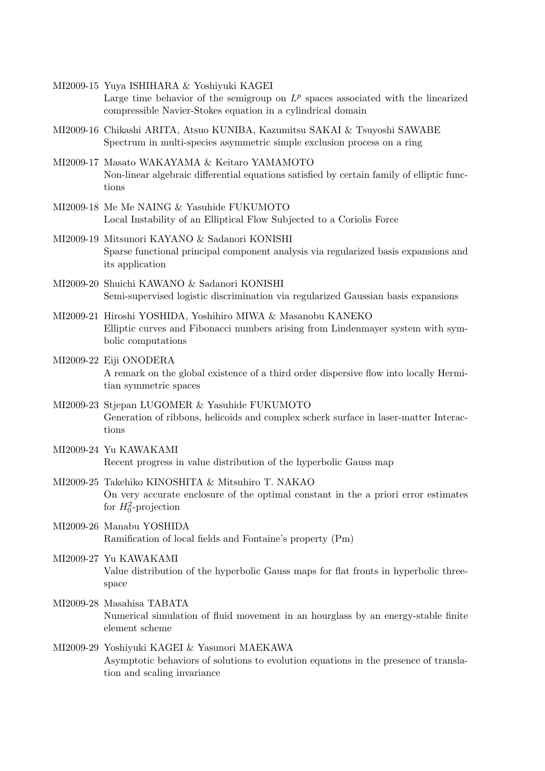MI2009-15 Yuya ISHIHARA & Yoshiyuki KAGEI Large time behavior of the semigroup on  $L^p$  spaces associated with the linearized compressible Navier-Stokes equation in a cylindrical domain

- MI2009-16 Chikashi ARITA, Atsuo KUNIBA, Kazumitsu SAKAI & Tsuyoshi SAWABE Spectrum in multi-species asymmetric simple exclusion process on a ring
- MI2009-17 Masato WAKAYAMA & Keitaro YAMAMOTO Non-linear algebraic differential equations satisfied by certain family of elliptic functions
- MI2009-18 Me Me NAING & Yasuhide FUKUMOTO Local Instability of an Elliptical Flow Subjected to a Coriolis Force
- MI2009-19 Mitsunori KAYANO & Sadanori KONISHI Sparse functional principal component analysis via regularized basis expansions and its application
- MI2009-20 Shuichi KAWANO & Sadanori KONISHI Semi-supervised logistic discrimination via regularized Gaussian basis expansions
- MI2009-21 Hiroshi YOSHIDA, Yoshihiro MIWA & Masanobu KANEKO Elliptic curves and Fibonacci numbers arising from Lindenmayer system with symbolic computations
- MI2009-22 Eiji ONODERA A remark on the global existence of a third order dispersive flow into locally Hermitian symmetric spaces
- MI2009-23 Stjepan LUGOMER & Yasuhide FUKUMOTO Generation of ribbons, helicoids and complex scherk surface in laser-matter Interactions
- MI2009-24 Yu KAWAKAMI Recent progress in value distribution of the hyperbolic Gauss map
- MI2009-25 Takehiko KINOSHITA & Mitsuhiro T. NAKAO On very accurate enclosure of the optimal constant in the a priori error estimates for  $H_0^2$ -projection
- MI2009-26 Manabu YOSHIDA Ramification of local fields and Fontaine's property (Pm)
- MI2009-27 Yu KAWAKAMI Value distribution of the hyperbolic Gauss maps for flat fronts in hyperbolic threespace
- MI2009-28 Masahisa TABATA Numerical simulation of fluid movement in an hourglass by an energy-stable finite element scheme
- MI2009-29 Yoshiyuki KAGEI & Yasunori MAEKAWA Asymptotic behaviors of solutions to evolution equations in the presence of translation and scaling invariance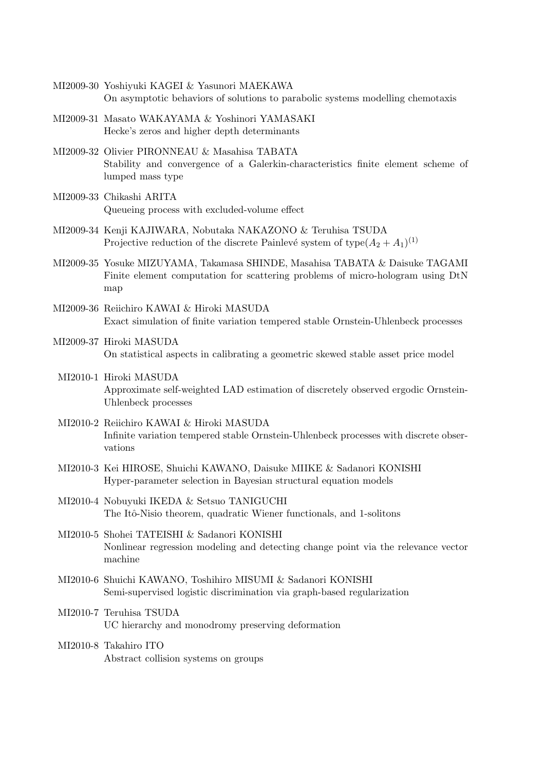- MI2009-30 Yoshiyuki KAGEI & Yasunori MAEKAWA On asymptotic behaviors of solutions to parabolic systems modelling chemotaxis
- MI2009-31 Masato WAKAYAMA & Yoshinori YAMASAKI Hecke's zeros and higher depth determinants
- MI2009-32 Olivier PIRONNEAU & Masahisa TABATA Stability and convergence of a Galerkin-characteristics finite element scheme of lumped mass type
- MI2009-33 Chikashi ARITA Queueing process with excluded-volume effect
- MI2009-34 Kenji KAJIWARA, Nobutaka NAKAZONO & Teruhisa TSUDA Projective reduction of the discrete Painlevé system of  $type(A_2 + A_1)^{(1)}$
- MI2009-35 Yosuke MIZUYAMA, Takamasa SHINDE, Masahisa TABATA & Daisuke TAGAMI Finite element computation for scattering problems of micro-hologram using DtN map
- MI2009-36 Reiichiro KAWAI & Hiroki MASUDA Exact simulation of finite variation tempered stable Ornstein-Uhlenbeck processes
- MI2009-37 Hiroki MASUDA On statistical aspects in calibrating a geometric skewed stable asset price model
- MI2010-1 Hiroki MASUDA Approximate self-weighted LAD estimation of discretely observed ergodic Ornstein-Uhlenbeck processes
- MI2010-2 Reiichiro KAWAI & Hiroki MASUDA Infinite variation tempered stable Ornstein-Uhlenbeck processes with discrete observations
- MI2010-3 Kei HIROSE, Shuichi KAWANO, Daisuke MIIKE & Sadanori KONISHI Hyper-parameter selection in Bayesian structural equation models
- MI2010-4 Nobuyuki IKEDA & Setsuo TANIGUCHI The Itô-Nisio theorem, quadratic Wiener functionals, and 1-solitons
- MI2010-5 Shohei TATEISHI & Sadanori KONISHI Nonlinear regression modeling and detecting change point via the relevance vector machine
- MI2010-6 Shuichi KAWANO, Toshihiro MISUMI & Sadanori KONISHI Semi-supervised logistic discrimination via graph-based regularization
- MI2010-7 Teruhisa TSUDA UC hierarchy and monodromy preserving deformation
- MI2010-8 Takahiro ITO Abstract collision systems on groups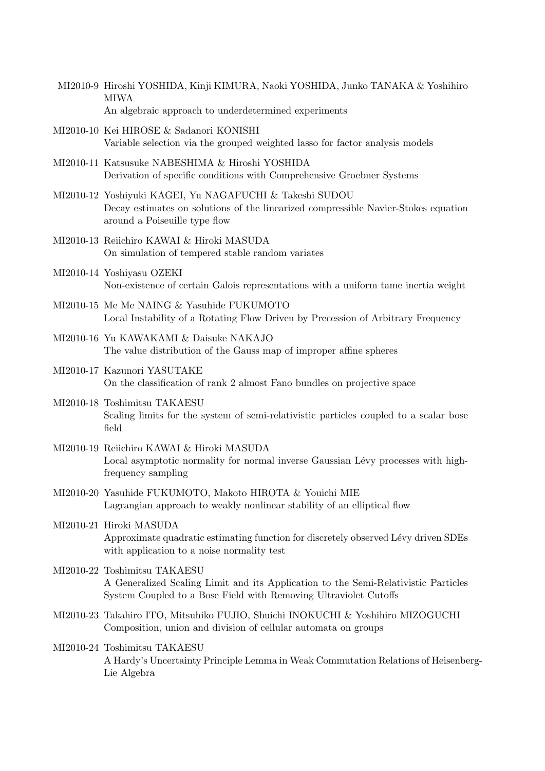- MI2010-9 Hiroshi YOSHIDA, Kinji KIMURA, Naoki YOSHIDA, Junko TANAKA & Yoshihiro MIWA An algebraic approach to underdetermined experiments
- MI2010-10 Kei HIROSE & Sadanori KONISHI Variable selection via the grouped weighted lasso for factor analysis models
- MI2010-11 Katsusuke NABESHIMA & Hiroshi YOSHIDA Derivation of specific conditions with Comprehensive Groebner Systems
- MI2010-12 Yoshiyuki KAGEI, Yu NAGAFUCHI & Takeshi SUDOU Decay estimates on solutions of the linearized compressible Navier-Stokes equation around a Poiseuille type flow
- MI2010-13 Reiichiro KAWAI & Hiroki MASUDA On simulation of tempered stable random variates
- MI2010-14 Yoshiyasu OZEKI Non-existence of certain Galois representations with a uniform tame inertia weight
- MI2010-15 Me Me NAING & Yasuhide FUKUMOTO Local Instability of a Rotating Flow Driven by Precession of Arbitrary Frequency
- MI2010-16 Yu KAWAKAMI & Daisuke NAKAJO The value distribution of the Gauss map of improper affine spheres
- MI2010-17 Kazunori YASUTAKE On the classification of rank 2 almost Fano bundles on projective space
- MI2010-18 Toshimitsu TAKAESU Scaling limits for the system of semi-relativistic particles coupled to a scalar bose field
- MI2010-19 Reiichiro KAWAI & Hiroki MASUDA Local asymptotic normality for normal inverse Gaussian Lévy processes with highfrequency sampling
- MI2010-20 Yasuhide FUKUMOTO, Makoto HIROTA & Youichi MIE Lagrangian approach to weakly nonlinear stability of an elliptical flow
- MI2010-21 Hiroki MASUDA Approximate quadratic estimating function for discretely observed Lévy driven SDEs with application to a noise normality test
- MI2010-22 Toshimitsu TAKAESU A Generalized Scaling Limit and its Application to the Semi-Relativistic Particles System Coupled to a Bose Field with Removing Ultraviolet Cutoffs
- MI2010-23 Takahiro ITO, Mitsuhiko FUJIO, Shuichi INOKUCHI & Yoshihiro MIZOGUCHI Composition, union and division of cellular automata on groups
- MI2010-24 Toshimitsu TAKAESU A Hardy's Uncertainty Principle Lemma in Weak Commutation Relations of Heisenberg-Lie Algebra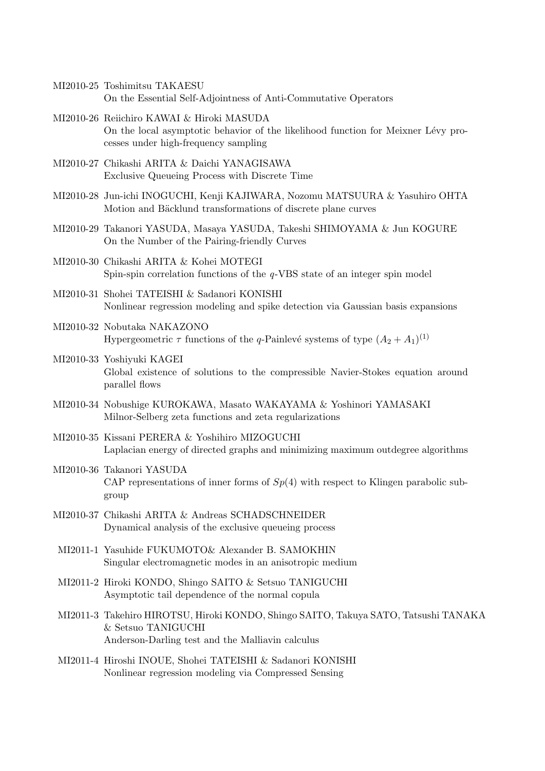- MI2010-25 Toshimitsu TAKAESU On the Essential Self-Adjointness of Anti-Commutative Operators
- MI2010-26 Reiichiro KAWAI & Hiroki MASUDA On the local asymptotic behavior of the likelihood function for Meixner Lévy processes under high-frequency sampling
- MI2010-27 Chikashi ARITA & Daichi YANAGISAWA Exclusive Queueing Process with Discrete Time
- MI2010-28 Jun-ichi INOGUCHI, Kenji KAJIWARA, Nozomu MATSUURA & Yasuhiro OHTA Motion and Bäcklund transformations of discrete plane curves
- MI2010-29 Takanori YASUDA, Masaya YASUDA, Takeshi SHIMOYAMA & Jun KOGURE On the Number of the Pairing-friendly Curves
- MI2010-30 Chikashi ARITA & Kohei MOTEGI Spin-spin correlation functions of the *q*-VBS state of an integer spin model
- MI2010-31 Shohei TATEISHI & Sadanori KONISHI Nonlinear regression modeling and spike detection via Gaussian basis expansions
- MI2010-32 Nobutaka NAKAZONO Hypergeometric  $\tau$  functions of the *q*-Painlevé systems of type  $(A_2 + A_1)^{(1)}$
- MI2010-33 Yoshiyuki KAGEI Global existence of solutions to the compressible Navier-Stokes equation around parallel flows
- MI2010-34 Nobushige KUROKAWA, Masato WAKAYAMA & Yoshinori YAMASAKI Milnor-Selberg zeta functions and zeta regularizations
- MI2010-35 Kissani PERERA & Yoshihiro MIZOGUCHI Laplacian energy of directed graphs and minimizing maximum outdegree algorithms
- MI2010-36 Takanori YASUDA CAP representations of inner forms of  $Sp(4)$  with respect to Klingen parabolic subgroup
- MI2010-37 Chikashi ARITA & Andreas SCHADSCHNEIDER Dynamical analysis of the exclusive queueing process
- MI2011-1 Yasuhide FUKUMOTO& Alexander B. SAMOKHIN Singular electromagnetic modes in an anisotropic medium
- MI2011-2 Hiroki KONDO, Shingo SAITO & Setsuo TANIGUCHI Asymptotic tail dependence of the normal copula
- MI2011-3 Takehiro HIROTSU, Hiroki KONDO, Shingo SAITO, Takuya SATO, Tatsushi TANAKA & Setsuo TANIGUCHI Anderson-Darling test and the Malliavin calculus
- MI2011-4 Hiroshi INOUE, Shohei TATEISHI & Sadanori KONISHI Nonlinear regression modeling via Compressed Sensing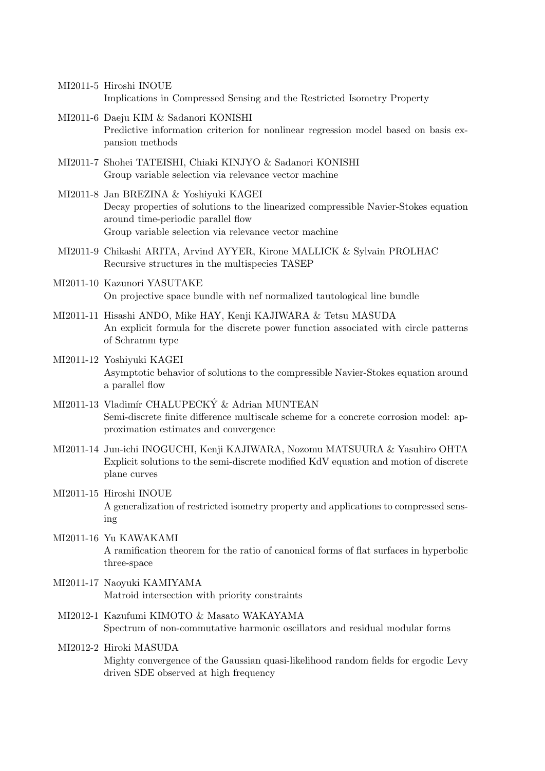- MI2011-5 Hiroshi INOUE Implications in Compressed Sensing and the Restricted Isometry Property
- MI2011-6 Daeju KIM & Sadanori KONISHI Predictive information criterion for nonlinear regression model based on basis expansion methods
- MI2011-7 Shohei TATEISHI, Chiaki KINJYO & Sadanori KONISHI Group variable selection via relevance vector machine
- MI2011-8 Jan BREZINA & Yoshiyuki KAGEI Decay properties of solutions to the linearized compressible Navier-Stokes equation around time-periodic parallel flow Group variable selection via relevance vector machine
- MI2011-9 Chikashi ARITA, Arvind AYYER, Kirone MALLICK & Sylvain PROLHAC Recursive structures in the multispecies TASEP
- MI2011-10 Kazunori YASUTAKE On projective space bundle with nef normalized tautological line bundle
- MI2011-11 Hisashi ANDO, Mike HAY, Kenji KAJIWARA & Tetsu MASUDA An explicit formula for the discrete power function associated with circle patterns of Schramm type
- MI2011-12 Yoshiyuki KAGEI Asymptotic behavior of solutions to the compressible Navier-Stokes equation around a parallel flow
- MI2011-13 Vladimír CHALUPECKÝ & Adrian MUNTEAN Semi-discrete finite difference multiscale scheme for a concrete corrosion model: approximation estimates and convergence
- MI2011-14 Jun-ichi INOGUCHI, Kenji KAJIWARA, Nozomu MATSUURA & Yasuhiro OHTA Explicit solutions to the semi-discrete modified KdV equation and motion of discrete plane curves
- MI2011-15 Hiroshi INOUE A generalization of restricted isometry property and applications to compressed sensing
- MI2011-16 Yu KAWAKAMI A ramification theorem for the ratio of canonical forms of flat surfaces in hyperbolic three-space
- MI2011-17 Naoyuki KAMIYAMA Matroid intersection with priority constraints
- MI2012-1 Kazufumi KIMOTO & Masato WAKAYAMA Spectrum of non-commutative harmonic oscillators and residual modular forms
- MI2012-2 Hiroki MASUDA Mighty convergence of the Gaussian quasi-likelihood random fields for ergodic Levy driven SDE observed at high frequency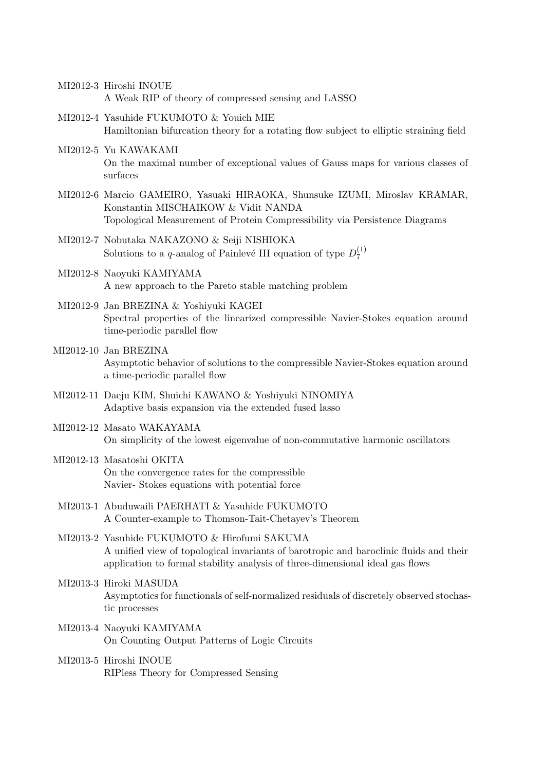- MI2012-3 Hiroshi INOUE A Weak RIP of theory of compressed sensing and LASSO
- MI2012-4 Yasuhide FUKUMOTO & Youich MIE Hamiltonian bifurcation theory for a rotating flow subject to elliptic straining field
- MI2012-5 Yu KAWAKAMI On the maximal number of exceptional values of Gauss maps for various classes of surfaces
- MI2012-6 Marcio GAMEIRO, Yasuaki HIRAOKA, Shunsuke IZUMI, Miroslav KRAMAR, Konstantin MISCHAIKOW & Vidit NANDA Topological Measurement of Protein Compressibility via Persistence Diagrams
- MI2012-7 Nobutaka NAKAZONO & Seiji NISHIOKA Solutions to a *q*-analog of Painlevé III equation of type  $D_7^{(1)}$ 7
- MI2012-8 Naoyuki KAMIYAMA A new approach to the Pareto stable matching problem
- MI2012-9 Jan BREZINA & Yoshiyuki KAGEI Spectral properties of the linearized compressible Navier-Stokes equation around time-periodic parallel flow
- MI2012-10 Jan BREZINA Asymptotic behavior of solutions to the compressible Navier-Stokes equation around a time-periodic parallel flow
- MI2012-11 Daeju KIM, Shuichi KAWANO & Yoshiyuki NINOMIYA Adaptive basis expansion via the extended fused lasso
- MI2012-12 Masato WAKAYAMA On simplicity of the lowest eigenvalue of non-commutative harmonic oscillators
- MI2012-13 Masatoshi OKITA On the convergence rates for the compressible Navier- Stokes equations with potential force
- MI2013-1 Abuduwaili PAERHATI & Yasuhide FUKUMOTO A Counter-example to Thomson-Tait-Chetayev's Theorem
- MI2013-2 Yasuhide FUKUMOTO & Hirofumi SAKUMA A unified view of topological invariants of barotropic and baroclinic fluids and their application to formal stability analysis of three-dimensional ideal gas flows
- MI2013-3 Hiroki MASUDA Asymptotics for functionals of self-normalized residuals of discretely observed stochastic processes
- MI2013-4 Naoyuki KAMIYAMA On Counting Output Patterns of Logic Circuits
- MI2013-5 Hiroshi INOUE RIPless Theory for Compressed Sensing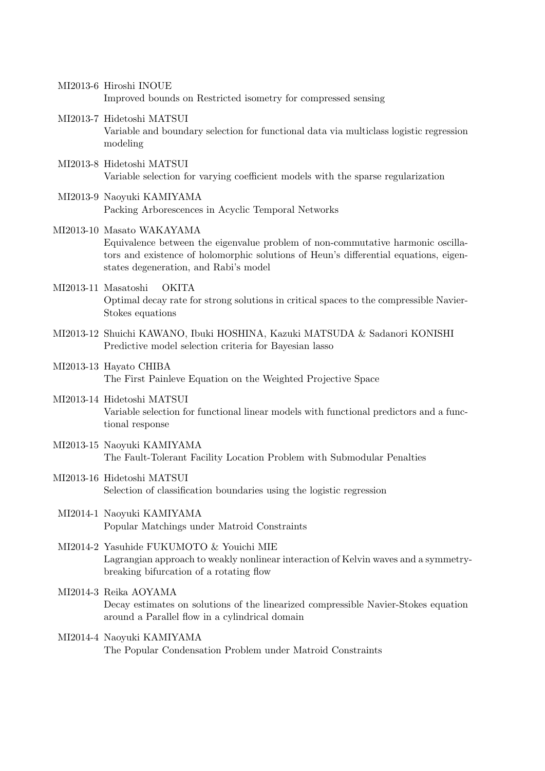- MI2013-6 Hiroshi INOUE Improved bounds on Restricted isometry for compressed sensing
- MI2013-7 Hidetoshi MATSUI Variable and boundary selection for functional data via multiclass logistic regression modeling
- MI2013-8 Hidetoshi MATSUI Variable selection for varying coefficient models with the sparse regularization
- MI2013-9 Naoyuki KAMIYAMA Packing Arborescences in Acyclic Temporal Networks
- MI2013-10 Masato WAKAYAMA Equivalence between the eigenvalue problem of non-commutative harmonic oscillators and existence of holomorphic solutions of Heun's differential equations, eigenstates degeneration, and Rabi's model
- MI2013-11 Masatoshi OKITA Optimal decay rate for strong solutions in critical spaces to the compressible Navier-Stokes equations
- MI2013-12 Shuichi KAWANO, Ibuki HOSHINA, Kazuki MATSUDA & Sadanori KONISHI Predictive model selection criteria for Bayesian lasso
- MI2013-13 Hayato CHIBA The First Painleve Equation on the Weighted Projective Space
- MI2013-14 Hidetoshi MATSUI Variable selection for functional linear models with functional predictors and a functional response
- MI2013-15 Naoyuki KAMIYAMA The Fault-Tolerant Facility Location Problem with Submodular Penalties
- MI2013-16 Hidetoshi MATSUI Selection of classification boundaries using the logistic regression
- MI2014-1 Naoyuki KAMIYAMA Popular Matchings under Matroid Constraints
- MI2014-2 Yasuhide FUKUMOTO & Youichi MIE Lagrangian approach to weakly nonlinear interaction of Kelvin waves and a symmetrybreaking bifurcation of a rotating flow
- MI2014-3 Reika AOYAMA Decay estimates on solutions of the linearized compressible Navier-Stokes equation around a Parallel flow in a cylindrical domain
- MI2014-4 Naoyuki KAMIYAMA The Popular Condensation Problem under Matroid Constraints